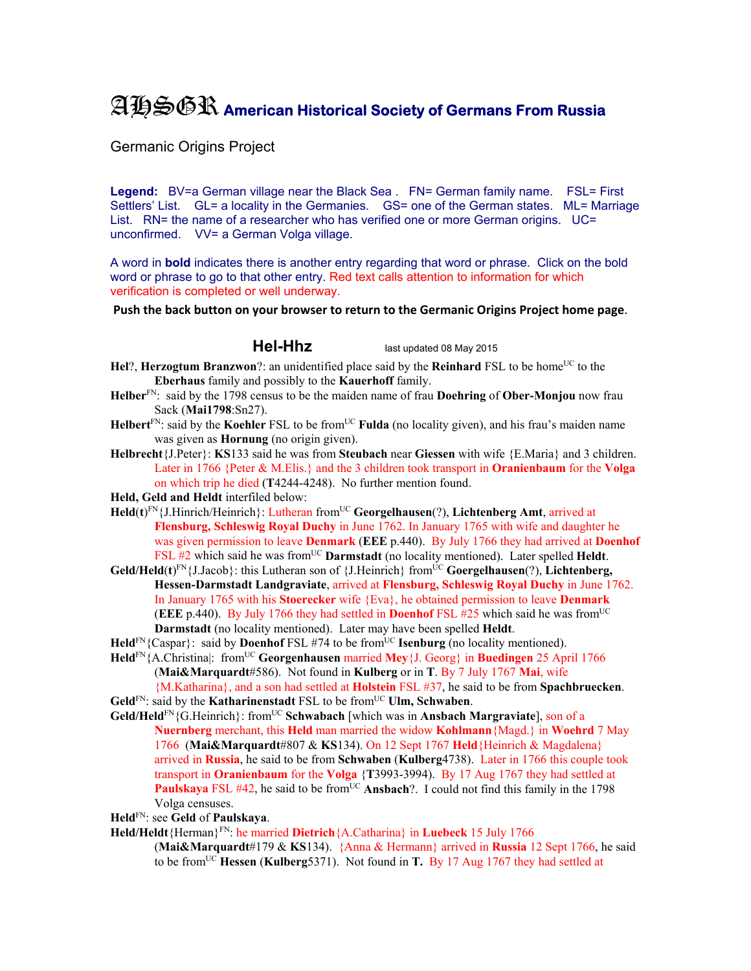## AHSGR **American Historical Society of Germans From Russia**

Germanic Origins Project

**Legend:** BV=a German village near the Black Sea . FN= German family name. FSL= First Settlers' List. GL= a locality in the Germanies. GS= one of the German states. ML= Marriage List. RN= the name of a researcher who has verified one or more German origins. UC= unconfirmed. VV= a German Volga village.

A word in **bold** indicates there is another entry regarding that word or phrase. Click on the bold word or phrase to go to that other entry. Red text calls attention to information for which verification is completed or well underway.

**Push the back button on your browser to return to the Germanic Origins Project home page**.

**Hel-Hhz** last updated 08 May 2015

**Hel**?, **Herzogtum Branzwon**?: an unidentified place said by the **Reinhard** FSL to be home<sup>UC</sup> to the **Eberhaus** family and possibly to the **Kauerhoff** family.

- **Helber**FN: said by the 1798 census to be the maiden name of frau **Doehring** of **Ober-Monjou** now frau Sack (**Mai1798**:Sn27).
- **Helbert**<sup>FN</sup>: said by the **Koehler** FSL to be from<sup>UC</sup> **Fulda** (no locality given), and his frau's maiden name was given as **Hornung** (no origin given).
- **Helbrecht**{J.Peter}: **KS**133 said he was from **Steubach** near **Giessen** with wife {E.Maria} and 3 children. Later in 1766 {Peter & M.Elis.} and the 3 children took transport in **Oranienbaum** for the **Volga**  on which trip he died (**T**4244-4248). No further mention found.

**Held, Geld and Heldt** interfiled below:

- **Held**(**t**) FN{J.Hinrich/Heinrich}: Lutheran fromUC **Georgelhausen**(?), **Lichtenberg Amt**, arrived at **Flensburg, Schleswig Royal Duchy** in June 1762. In January 1765 with wife and daughter he was given permission to leave **Denmark** (**EEE** p.440). By July 1766 they had arrived at **Doenhof**  FSL #2 which said he was from<sup>UC</sup> **Darmstadt** (no locality mentioned). Later spelled **Heldt**.
- **Geld/Held(t)**<sup>EN</sup>{J.Jacob}: this Lutheran son of {J.Heinrich} from<sup>UC</sup> **Goergelhausen**(?), Lichtenberg, **Hessen-Darmstadt Landgraviate**, arrived at **Flensburg, Schleswig Royal Duchy** in June 1762. In January 1765 with his **Stoerecker** wife {Eva}, he obtained permission to leave **Denmark** (**EEE** p.440). By July 1766 they had settled in **Doenhof** FSL  $#25$  which said he was from<sup>UC</sup> **Darmstadt** (no locality mentioned). Later may have been spelled **Heldt**.
- $\text{Held}^{\text{FN}}$ {Caspar}: said by **Doenhof** FSL #74 to be from<sup>UC</sup> **Isenburg** (no locality mentioned).
- **Held**FN{A.Christina|: fromUC **Georgenhausen** married **Mey**{J. Georg} in **Buedingen** 25 April 1766 (**Mai&Marquardt**#586). Not found in **Kulberg** or in **T**. By 7 July 1767 **Mai**, wife {M.Katharina}, and a son had settled at **Holstein** FSL #37, he said to be from **Spachbruecken**.
- Geld<sup>FN</sup>: said by the **Katharinenstadt** FSL to be from<sup>UC</sup> **Ulm, Schwaben**.
- **Geld/Held**FN{G.Heinrich}: fromUC **Schwabach** [which was in **Ansbach Margraviate**], son of a **Nuernberg** merchant, this **Held** man married the widow **Kohlmann**{Magd.} in **Woehrd** 7 May 1766 (**Mai&Marquardt**#807 & **KS**134). On 12 Sept 1767 **Held**{Heinrich & Magdalena} arrived in **Russia**, he said to be from **Schwaben** (**Kulberg**4738). Later in 1766 this couple took transport in **Oranienbaum** for the **Volga** {**T**3993-3994). By 17 Aug 1767 they had settled at **Paulskaya** FSL #42, he said to be from<sup>UC</sup> Ansbach?. I could not find this family in the 1798 Volga censuses.

**Held**FN: see **Geld** of **Paulskaya**.

**Held/Heldt**{Herman}FN: he married **Dietrich**{A.Catharina} in **Luebeck** 15 July 1766

(**Mai&Marquardt**#179 & **KS**134). {Anna & Hermann} arrived in **Russia** 12 Sept 1766, he said to be fromUC **Hessen** (**Kulberg**5371). Not found in **T.** By 17 Aug 1767 they had settled at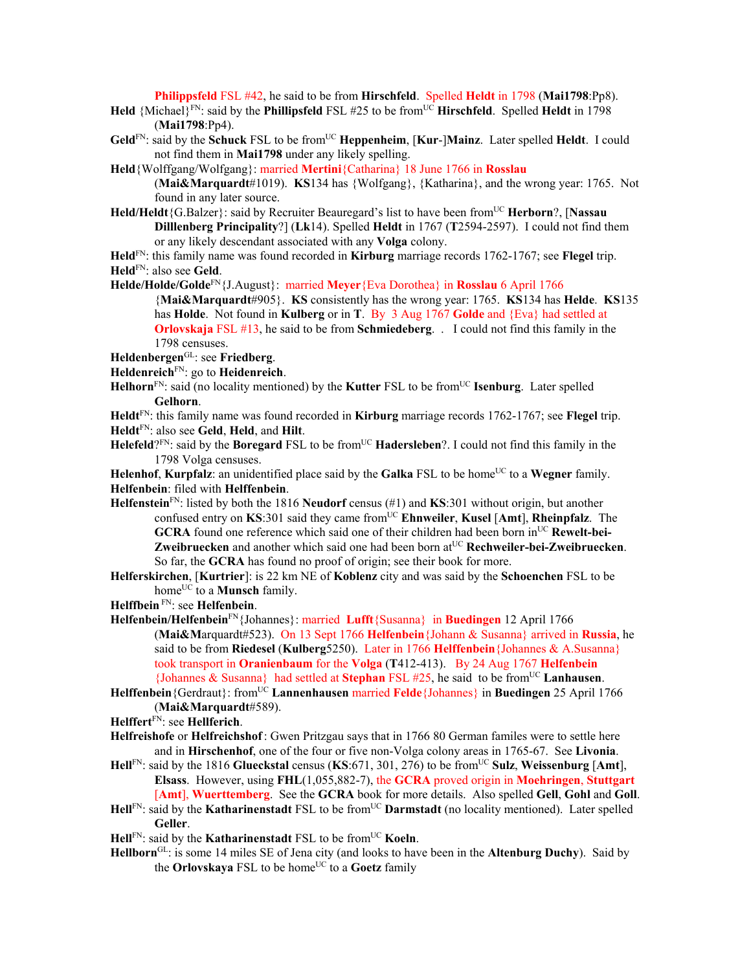**Philippsfeld** FSL #42, he said to be from **Hirschfeld**. Spelled **Heldt** in 1798 (**Mai1798**:Pp8).

- **Held** {Michael}<sup>FN</sup>: said by the **Phillipsfeld** FSL #25 to be from<sup>UC</sup> **Hirschfeld**. Spelled **Heldt** in 1798 (**Mai1798**:Pp4).
- **Geld**FN: said by the **Schuck** FSL to be fromUC **Heppenheim**, [**Kur**-]**Mainz**.Later spelled **Heldt**. I could not find them in **Mai1798** under any likely spelling.
- **Held**{Wolffgang/Wolfgang}: married **Mertini**{Catharina} 18 June 1766 in **Rosslau**  (**Mai&Marquardt**#1019). **KS**134 has {Wolfgang}, {Katharina}, and the wrong year: 1765. Not found in any later source.
- **Held/Heldt**{G.Balzer}: said by Recruiter Beauregard's list to have been fromUC **Herborn**?, [**Nassau Dilllenberg Principality**?] (**Lk**14). Spelled **Heldt** in 1767 (**T**2594-2597). I could not find them or any likely descendant associated with any **Volga** colony.
- **Held**FN: this family name was found recorded in **Kirburg** marriage records 1762-1767; see **Flegel** trip. **Held**FN: also see **Geld**.
- **Helde/Holde/Golde**FN{J.August}: married **Meyer**{Eva Dorothea} in **Rosslau** 6 April 1766 {**Mai&Marquardt**#905}. **KS** consistently has the wrong year: 1765. **KS**134 has **Helde**. **KS**135 has **Holde**. Not found in **Kulberg** or in **T**. By 3 Aug 1767 **Golde** and {Eva} had settled at **Orlovskaja** FSL #13, he said to be from **Schmiedeberg**. .I could not find this family in the 1798 censuses.
- **Heldenbergen**GL: see **Friedberg**.
- **Heldenreich**FN: go to **Heidenreich**.
- **Helhorn**<sup>FN</sup>: said (no locality mentioned) by the **Kutter** FSL to be from<sup>UC</sup> **Isenburg**. Later spelled **Gelhorn**.
- **Heldt**FN: this family name was found recorded in **Kirburg** marriage records 1762-1767; see **Flegel** trip. **Heldt**FN: also see **Geld**, **Held**, and **Hilt**.
- **Helefeld**?<sup>FN</sup>: said by the **Boregard** FSL to be from<sup>UC</sup> **Hadersleben**?. I could not find this family in the 1798 Volga censuses.
- **Helenhof**, **Kurpfalz**: an unidentified place said by the **Galka** FSL to be home<sup>UC</sup> to a **Wegner** family. **Helfenbein**: filed with **Helffenbein**.
- **Helfenstein**FN: listed by both the 1816 **Neudorf** census (#1) and **KS**:301 without origin, but another confused entry on **KS**:301 said they came fromUC **Ehnweiler**, **Kusel** [**Amt**], **Rheinpfalz**. The GCRA found one reference which said one of their children had been born in<sup>UC</sup> Rewelt-bei-**Zweibruecken** and another which said one had been born at<sup>UC</sup> Rechweiler-bei-Zweibruecken. So far, the **GCRA** has found no proof of origin; see their book for more.
- **Helferskirchen**, [**Kurtrier**]: is 22 km NE of **Koblenz** city and was said by the **Schoenchen** FSL to be home<sup>UC</sup> to a **Munsch** family.
- **Helffbein** FN: see **Helfenbein**.
- **Helfenbein/Helfenbein**FN{Johannes}: married **Lufft**{Susanna} in **Buedingen** 12 April 1766 (**Mai&M**arquardt#523). On 13 Sept 1766 **Helfenbein**{Johann & Susanna} arrived in **Russia**, he said to be from **Riedesel** (**Kulberg**5250).Later in 1766 **Helffenbein**{Johannes & A.Susanna} took transport in **Oranienbaum** for the **Volga** (**T**412-413). By 24 Aug 1767 **Helfenbein** {Johannes & Susanna} had settled at **Stephan** FSL #25, he said to be fromUC **Lanhausen**.
- **Helffenbein**{Gerdraut}: fromUC **Lannenhausen** married **Felde**{Johannes} in **Buedingen** 25 April 1766 (**Mai&Marquardt**#589).
- **Helffert**FN: see **Hellferich**.
- **Helfreishofe** or **Helfreichshof**: Gwen Pritzgau says that in 1766 80 German familes were to settle here and in **Hirschenhof**, one of the four or five non-Volga colony areas in 1765-67. See **Livonia**.
- **Hell**FN: said by the 1816 **Glueckstal** census (**KS**:671, 301, 276) to be fromUC **Sulz**, **Weissenburg** [**Amt**], **Elsass**. However, using **FHL**(1,055,882-7), the **GCRA** proved origin in **Moehringen**, **Stuttgart** [**Amt**], **Wuerttemberg**. See the **GCRA** book for more details.Also spelled **Gell**, **Gohl** and **Goll**.
- Hell<sup>FN</sup>: said by the **Katharinenstadt** FSL to be from<sup>UC</sup> **Darmstadt** (no locality mentioned). Later spelled **Geller**.
- **Hell**FN: said by the **Katharinenstadt** FSL to be from<sup>UC</sup> **Koeln**.
- **Hellborn**GL: is some 14 miles SE of Jena city (and looks to have been in the **Altenburg Duchy**). Said by the **Orlovskaya** FSL to be home<sup>UC</sup> to a Goetz family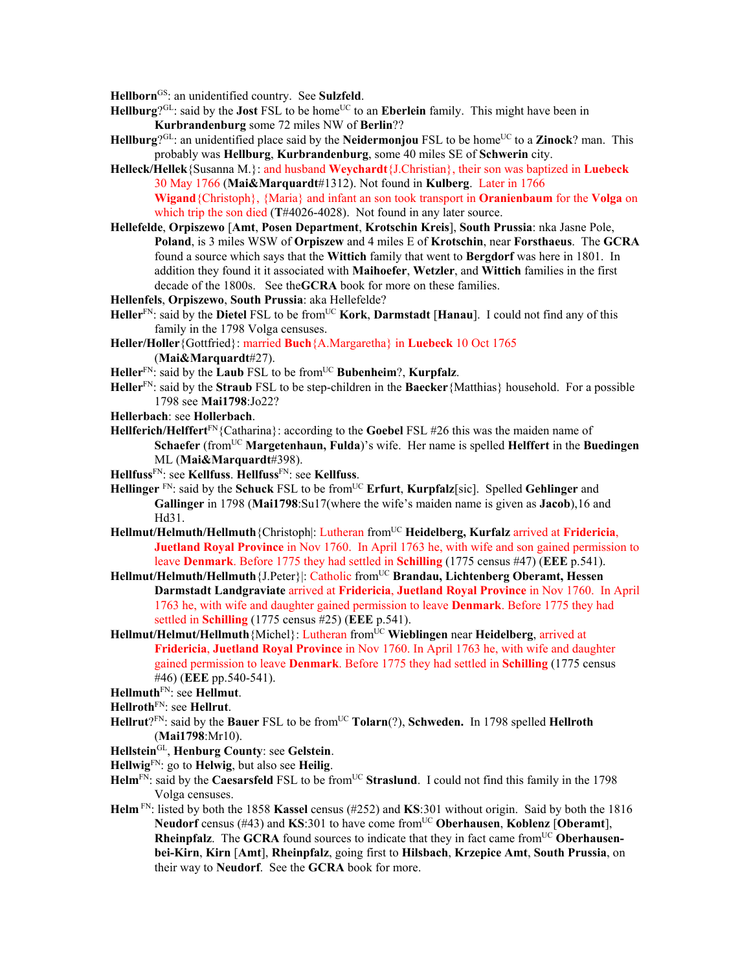**Hellborn**GS: an unidentified country. See **Sulzfeld**.

- Hellburg<sup>?GL</sup>: said by the **Jost** FSL to be home<sup>UC</sup> to an Eberlein family. This might have been in **Kurbrandenburg** some 72 miles NW of **Berlin**??
- **Hellburg**?<sup>GL</sup>: an unidentified place said by the **Neidermonjou** FSL to be home<sup>UC</sup> to a **Zinock**? man. This probably was **Hellburg**, **Kurbrandenburg**, some 40 miles SE of **Schwerin** city.
- **Helleck/Hellek**{Susanna M.}: and husband **Weychardt**{J.Christian}, their son was baptized in **Luebeck**  30 May 1766 (**Mai&Marquardt**#1312). Not found in **Kulberg**. Later in 1766 **Wigand**{Christoph}, {Maria} and infant an son took transport in **Oranienbaum** for the **Volga** on which trip the son died (**T**#4026-4028). Not found in any later source.
- **Hellefelde**, **Orpiszewo** [**Amt**, **Posen Department**, **Krotschin Kreis**], **South Prussia**: nka Jasne Pole, **Poland**, is 3 miles WSW of **Orpiszew** and 4 miles E of **Krotschin**, near **Forsthaeus**. The **GCRA** found a source which says that the **Wittich** family that went to **Bergdorf** was here in 1801. In addition they found it it associated with **Maihoefer**, **Wetzler**, and **Wittich** families in the first decade of the 1800s. See the**GCRA** book for more on these families.
- **Hellenfels**, **Orpiszewo**, **South Prussia**: aka Hellefelde?
- **Heller**FN: said by the **Dietel** FSL to be fromUC **Kork**, **Darmstadt** [**Hanau**]. I could not find any of this family in the 1798 Volga censuses.
- **Heller/Holler**{Gottfried}: married **Buch**{A.Margaretha} in **Luebeck** 10 Oct 1765 (**Mai&Marquardt**#27).
- **Heller**FN: said by the **Laub** FSL to be fromUC **Bubenheim**?, **Kurpfalz**.
- **Heller**FN: said by the **Straub** FSL to be step-children in the **Baecker**{Matthias} household. For a possible 1798 see **Mai1798**:Jo22?
- **Hellerbach**: see **Hollerbach**.
- **Hellferich/Helffert**FN{Catharina}: according to the **Goebel** FSL #26 this was the maiden name of **Schaefer** (from<sup>UC</sup> **Margetenhaun, Fulda**)'s wife. Her name is spelled **Helffert** in the **Buedingen** ML (**Mai&Marquardt**#398).
- **Hellfuss**FN: see **Kellfuss**. **Hellfuss**FN: see **Kellfuss**.
- **Hellinger** FN: said by the **Schuck** FSL to be fromUC **Erfurt**, **Kurpfalz**[sic]. Spelled **Gehlinger** and **Gallinger** in 1798 (**Mai1798**:Su17(where the wife's maiden name is given as **Jacob**),16 and Hd31.
- **Hellmut/Helmuth/Hellmuth**{Christoph|: Lutheran fromUC **Heidelberg, Kurfalz** arrived at **Fridericia**, **Juetland Royal Province** in Nov 1760. In April 1763 he, with wife and son gained permission to leave **Denmark**. Before 1775 they had settled in **Schilling** (1775 census #47) (**EEE** p.541).
- Hellmut/Helmuth/Hellmuth {J.Peter}|: Catholic from<sup>UC</sup> Brandau, Lichtenberg Oberamt, Hessen **Darmstadt Landgraviate** arrived at **Fridericia**, **Juetland Royal Province** in Nov 1760. In April 1763 he, with wife and daughter gained permission to leave **Denmark**. Before 1775 they had settled in **Schilling** (1775 census #25) (**EEE** p.541).
- **Hellmut/Helmut/Hellmuth**{Michel}: Lutheran fromUC **Wieblingen** near **Heidelberg**, arrived at **Fridericia**, **Juetland Royal Province** in Nov 1760. In April 1763 he, with wife and daughter gained permission to leave **Denmark**. Before 1775 they had settled in **Schilling** (1775 census #46) (**EEE** pp.540-541).
- **Hellmuth**FN: see **Hellmut**.
- **Hellroth**FN: see **Hellrut**.
- **Hellrut**?<sup>FN</sup>: said by the **Bauer** FSL to be from<sup>UC</sup> **Tolarn**(?), **Schweden.** In 1798 spelled **Hellroth** (**Mai1798**:Mr10).
- **Hellstein**GL, **Henburg County**: see **Gelstein**.
- **Hellwig**FN: go to **Helwig**, but also see **Heilig**.
- Helm<sup>FN</sup>: said by the **Caesarsfeld** FSL to be from<sup>UC</sup> **Straslund**. I could not find this family in the 1798 Volga censuses.
- **Helm** FN: listed by both the 1858 **Kassel** census (#252) and **KS**:301 without origin. Said by both the 1816 **Neudorf** census (#43) and **KS**:301 to have come from<sup>UC</sup> Oberhausen, **Koblenz** [Oberamt], **Rheinpfalz**. The **GCRA** found sources to indicate that they in fact came from<sup>UC</sup> Oberhausen**bei-Kirn**, **Kirn** [**Amt**], **Rheinpfalz**, going first to **Hilsbach**, **Krzepice Amt**, **South Prussia**, on their way to **Neudorf**. See the **GCRA** book for more.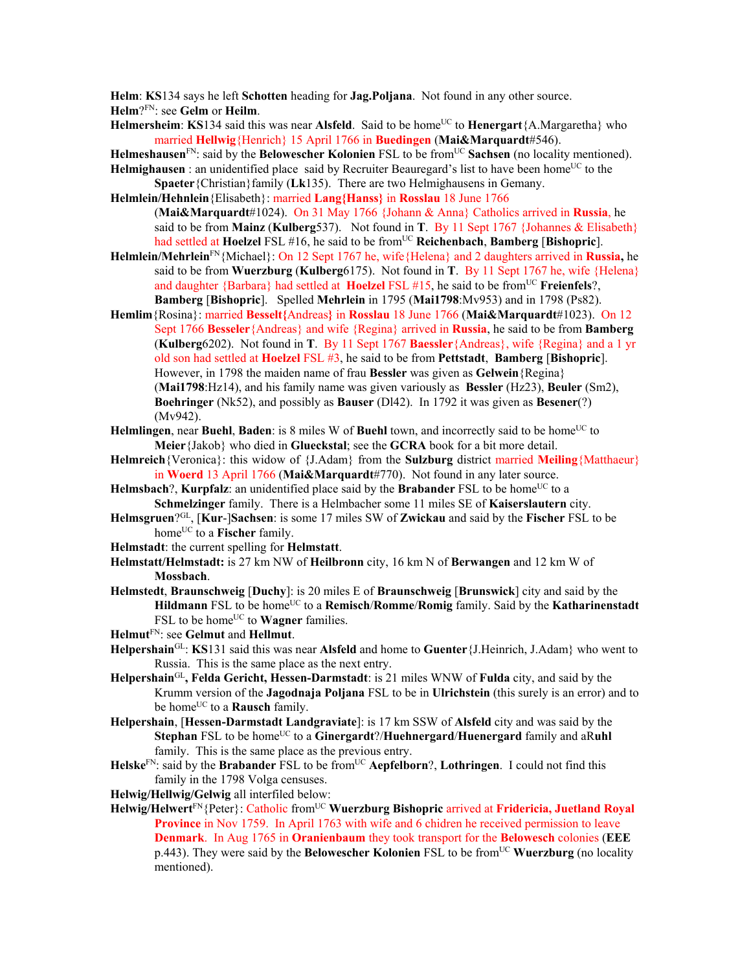**Helm**: **KS**134 says he left **Schotten** heading for **Jag.Poljana**. Not found in any other source. **Helm**?FN: see **Gelm** or **Heilm**.

**Helmersheim: KS**134 said this was near **Alsfeld**. Said to be home<sup>UC</sup> to **Henergart**{A.Margaretha} who married **Hellwig**{Henrich} 15 April 1766 in **Buedingen** (**Mai&Marquardt**#546).

**Helmeshausen**FN: said by the **Belowescher Kolonien** FSL to be fromUC **Sachsen** (no locality mentioned).

**Helmighausen** : an unidentified place said by Recruiter Beauregard's list to have been home<sup>UC</sup> to the **Spaeter**{Christian}family (**Lk**135). There are two Helmighausens in Gemany.

**Helmlein/Hehnlein**{Elisabeth}: married **Lang{Hanss}** in **Rosslau** 18 June 1766 (**Mai&Marquardt**#1024). On 31 May 1766 {Johann & Anna} Catholics arrived in **Russia**, he said to be from **Mainz** (**Kulberg**537). Not found in **T**. By 11 Sept 1767 {Johannes & Elisabeth} had settled at **Hoelzel** FSL #16, he said to be fromUC **Reichenbach**, **Bamberg** [**Bishopric**].

- **Helmlein/Mehrlein**FN{Michael}: On 12 Sept 1767 he, wife{Helena} and 2 daughters arrived in **Russia,** he said to be from **Wuerzburg** (**Kulberg**6175).Not found in **T**. By 11 Sept 1767 he, wife {Helena} and daughter {Barbara} had settled at **Hoelzel** FSL #15, he said to be from<sup>UC</sup> **Freienfels**?, **Bamberg** [**Bishopric**]. Spelled **Mehrlein** in 1795 (**Mai1798**:Mv953) and in 1798 (Ps82).
- **Hemlim**{Rosina}: married **Besselt{**Andreas**}** in **Rosslau** 18 June 1766 (**Mai&Marquardt**#1023). On 12 Sept 1766 **Besseler**{Andreas} and wife {Regina} arrived in **Russia**, he said to be from **Bamberg**  (**Kulberg**6202). Not found in **T**. By 11 Sept 1767 **Baessler**{Andreas}, wife {Regina} and a 1 yr old son had settled at **Hoelzel** FSL #3, he said to be from **Pettstadt**, **Bamberg** [**Bishopric**]. However, in 1798 the maiden name of frau **Bessler** was given as **Gelwein**{Regina} (**Mai1798**:Hz14), and his family name was given variously as **Bessler** (Hz23), **Beuler** (Sm2), **Boehringer** (Nk52), and possibly as **Bauser** (Dl42). In 1792 it was given as **Besener**(?) (Mv942).
- **Helmlingen**, near **Buehl**, **Baden**: is 8 miles W of **Buehl** town, and incorrectly said to be home<sup>UC</sup> to **Meier**{Jakob} who died in **Glueckstal**; see the **GCRA** book for a bit more detail.
- **Helmreich**{Veronica}: this widow of {J.Adam} from the **Sulzburg** district married **Meiling**{Matthaeur} in **Woerd** 13 April 1766 (**Mai&Marquardt**#770). Not found in any later source.
- **Helmsbach**?, **Kurpfalz**: an unidentified place said by the **Brabander** FSL to be home<sup>UC</sup> to a **Schmelzinger** family. There is a Helmbacher some 11 miles SE of **Kaiserslautern** city.
- **Helmsgruen**?GL, [**Kur**-]**Sachsen**: is some 17 miles SW of **Zwickau** and said by the **Fischer** FSL to be home<sup>UC</sup> to a **Fischer** family.
- **Helmstadt**: the current spelling for **Helmstatt**.
- **Helmstatt/Helmstadt:** is 27 km NW of **Heilbronn** city, 16 km N of **Berwangen** and 12 km W of **Mossbach**.
- **Helmstedt**, **Braunschweig** [**Duchy**]: is 20 miles E of **Braunschweig** [**Brunswick**] city and said by the Hildmann FSL to be home<sup>UC</sup> to a **Remisch/Romme/Romig** family. Said by the **Katharinenstadt** FSL to be home<sup>UC</sup> to **Wagner** families.
- **Helmut**FN: see **Gelmut** and **Hellmut**.
- **Helpershain**GL: **KS**131 said this was near **Alsfeld** and home to **Guenter**{J.Heinrich, J.Adam} who went to Russia. This is the same place as the next entry.
- **Helpershain**GL**, Felda Gericht, Hessen-Darmstadt**: is 21 miles WNW of **Fulda** city, and said by the Krumm version of the **Jagodnaja Poljana** FSL to be in **Ulrichstein** (this surely is an error) and to be home<sup>UC</sup> to a **Rausch** family.
- **Helpershain**, [**Hessen-Darmstadt Landgraviate**]: is 17 km SSW of **Alsfeld** city and was said by the **Stephan** FSL to be home<sup>UC</sup> to a **Ginergardt**?/**Huehnergard/Huenergard** family and aRuhl family. This is the same place as the previous entry.
- **Helske**FN: said by the **Brabander** FSL to be fromUC **Aepfelborn**?, **Lothringen**. I could not find this family in the 1798 Volga censuses.
- **Helwig/Hellwig/Gelwig** all interfiled below:
- Helwig/Helwert<sup>FN</sup>{Peter}: Catholic from<sup>UC</sup> Wuerzburg Bishopric arrived at Fridericia, Juetland Royal **Province** in Nov 1759. In April 1763 with wife and 6 chidren he received permission to leave **Denmark**. In Aug 1765 in **Oranienbaum** they took transport for the **Belowesch** colonies (**EEE** p.443). They were said by the **Belowescher Kolonien** FSL to be fromUC **Wuerzburg** (no locality mentioned).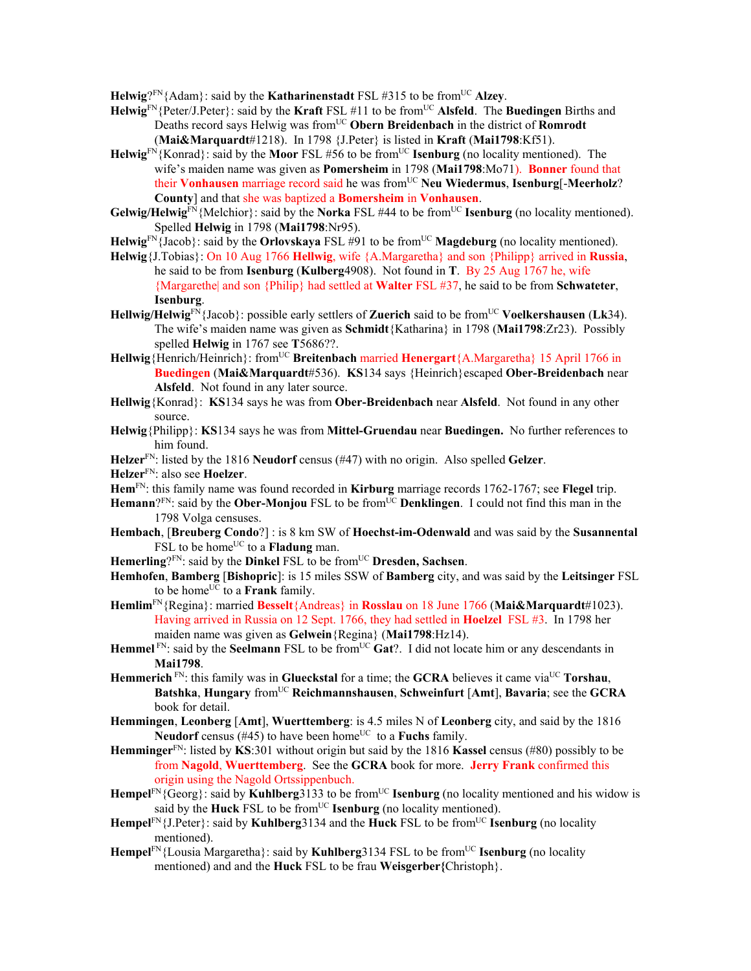**Helwig**? $\text{FN}$ {Adam}: said by the **Katharinenstadt** FSL #315 to be from<sup>UC</sup> Alzey.

- **Helwig**FN{Peter/J.Peter}: said by the **Kraft** FSL #11 to be fromUC **Alsfeld**. The **Buedingen** Births and Deaths record says Helwig was from<sup>UC</sup> Obern Breidenbach in the district of **Romrodt** (**Mai&Marquardt**#1218). In 1798 {J.Peter} is listed in **Kraft** (**Mai1798**:Kf51).
- **Helwig**<sup>FN</sup>{Konrad}: said by the **Moor** FSL #56 to be from<sup>UC</sup> **Isenburg** (no locality mentioned). The wife's maiden name was given as **Pomersheim** in 1798 (**Mai1798**:Mo71). **Bonner** found that their **Vonhausen** marriage record said he was fromUC **Neu Wiedermus**, **Isenburg**[-**Meerholz**? **County**] and that she was baptized a **Bomersheim** in **Vonhausen**.
- **Gelwig/Helwig**<sup>FN</sup>{Melchior}: said by the **Norka** FSL #44 to be from<sup>UC</sup> **Isenburg** (no locality mentioned). Spelled **Helwig** in 1798 (**Mai1798**:Nr95).
- Helwig<sup>FN</sup>{Jacob}: said by the **Orlovskaya** FSL #91 to be from<sup>UC</sup> **Magdeburg** (no locality mentioned).
- **Helwig**{J.Tobias}: On 10 Aug 1766 **Hellwig**, wife {A.Margaretha} and son {Philipp} arrived in **Russia**, he said to be from **Isenburg** (**Kulberg**4908). Not found in **T**. By 25 Aug 1767 he, wife {Margarethe| and son {Philip} had settled at **Walter** FSL #37, he said to be from **Schwateter**,
	- **Isenburg**.
- **Hellwig/Helwig**FN{Jacob}: possible early settlers of **Zuerich** said to be fromUC **Voelkershausen** (**Lk**34). The wife's maiden name was given as **Schmidt**{Katharina} in 1798 (**Mai1798**:Zr23). Possibly spelled **Helwig** in 1767 see **T**5686??.
- **Hellwig**{Henrich/Heinrich}: fromUC **Breitenbach** married **Henergart**{A.Margaretha} 15 April 1766 in **Buedingen** (**Mai&Marquardt**#536). **KS**134 says {Heinrich}escaped **Ober-Breidenbach** near **Alsfeld**. Not found in any later source.
- **Hellwig**{Konrad}: **KS**134 says he was from **Ober-Breidenbach** near **Alsfeld**. Not found in any other source.
- **Helwig**{Philipp}: **KS**134 says he was from **Mittel-Gruendau** near **Buedingen.** No further references to him found.
- **Helzer**FN: listed by the 1816 **Neudorf** census (#47) with no origin. Also spelled **Gelzer**.

**Helzer**FN: also see **Hoelzer**.

- **Hem**FN: this family name was found recorded in **Kirburg** marriage records 1762-1767; see **Flegel** trip.
- **Hemann**?<sup>FN</sup>: said by the **Ober-Monjou** FSL to be from<sup>UC</sup> **Denklingen**. I could not find this man in the 1798 Volga censuses.
- **Hembach**, [**Breuberg Condo**?] : is 8 km SW of **Hoechst-im-Odenwald** and was said by the **Susannental** FSL to be home<sup>UC</sup> to a **Fladung** man.
- **Hemerling**?FN: said by the **Dinkel** FSL to be fromUC **Dresden, Sachsen**.
- **Hemhofen**, **Bamberg** [**Bishopric**]: is 15 miles SSW of **Bamberg** city, and was said by the **Leitsinger** FSL to be home<sup>UC</sup> to a **Frank** family.
- **Hemlim**FN{Regina}: married **Besselt**{Andreas} in **Rosslau** on 18 June 1766 (**Mai&Marquardt**#1023). Having arrived in Russia on 12 Sept. 1766, they had settled in **Hoelzel** FSL #3. In 1798 her maiden name was given as **Gelwein**{Regina} (**Mai1798**:Hz14).
- Hemmel<sup>FN</sup>: said by the **Seelmann** FSL to be from<sup>UC</sup> Gat?. I did not locate him or any descendants in **Mai1798**.
- **Hemmerich** FN: this family was in **Glueckstal** for a time; the **GCRA** believes it came via<sup>UC</sup> **Torshau**, **Batshka**, **Hungary** fromUC **Reichmannshausen**, **Schweinfurt** [**Amt**], **Bavaria**; see the **GCRA** book for detail.
- **Hemmingen**, **Leonberg** [**Amt**], **Wuerttemberg**: is 4.5 miles N of **Leonberg** city, and said by the 1816 **Neudorf** census  $(\#45)$  to have been home<sup>UC</sup> to a **Fuchs** family.
- **Hemminger**FN: listed by **KS**:301 without origin but said by the 1816 **Kassel** census (#80) possibly to be from **Nagold**, **Wuerttemberg**. See the **GCRA** book for more. **Jerry Frank** confirmed this origin using the Nagold Ortssippenbuch.
- Hempel<sup>FN</sup>{Georg}: said by **Kuhlberg**3133 to be from<sup>UC</sup> **Isenburg** (no locality mentioned and his widow is said by the **Huck** FSL to be from<sup>UC</sup> **Isenburg** (no locality mentioned).
- Hempel<sup>FN</sup>{J.Peter}: said by **Kuhlberg**3134 and the **Huck** FSL to be from<sup>UC</sup> **Isenburg** (no locality mentioned).
- **Hempel**<sup>FN</sup>{Lousia Margaretha}: said by **Kuhlberg**3134 FSL to be from<sup>UC</sup> **Isenburg** (no locality mentioned) and and the **Huck** FSL to be frau **Weisgerber{**Christoph}.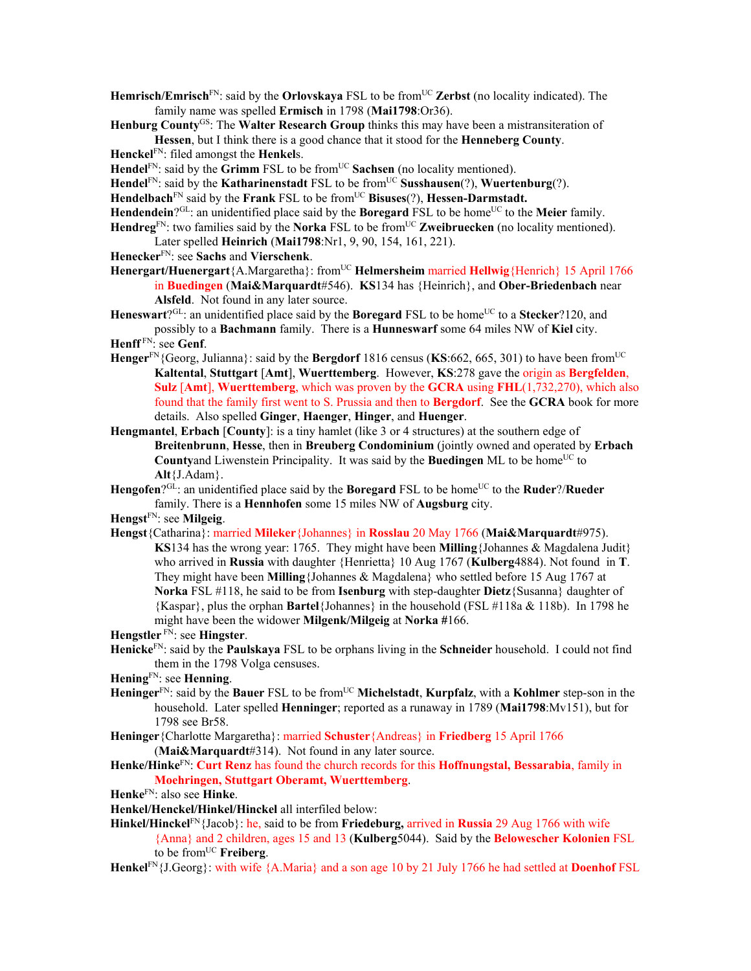- Hemrisch/Emrisch<sup>FN</sup>: said by the **Orlovskaya** FSL to be from<sup>UC</sup> Zerbst (no locality indicated). The family name was spelled **Ermisch** in 1798 (**Mai1798**:Or36).
- **Henburg County**GS: The **Walter Research Group** thinks this may have been a mistransiteration of **Hessen**, but I think there is a good chance that it stood for the **Henneberg County**.
- **Henckel**FN: filed amongst the **Henkel**s.
- Hendel<sup>FN</sup>: said by the Grimm FSL to be from<sup>UC</sup> Sachsen (no locality mentioned).
- Hendel<sup>FN</sup>: said by the **Katharinenstadt** FSL to be from<sup>UC</sup> **Susshausen**(?), **Wuertenburg**(?).
- Hendelbach<sup>FN</sup> said by the **Frank** FSL to be from<sup>UC</sup> Bisuses(?), **Hessen-Darmstadt.**
- **Hendendein**?GL: an unidentified place said by the **Boregard** FSL to be home<sup>UC</sup> to the **Meier** family. Hendreg<sup>FN</sup>: two families said by the **Norka** FSL to be from<sup>UC</sup> **Zweibruecken** (no locality mentioned).
- Later spelled **Heinrich** (**Mai1798**:Nr1, 9, 90, 154, 161, 221).
- **Henecker**FN: see **Sachs** and **Vierschenk**.
- **Henergart/Huenergart**{A.Margaretha}: from<sup>UC</sup> **Helmersheim** married **Hellwig**{Henrich} 15 April 1766 in **Buedingen** (**Mai&Marquardt**#546). **KS**134 has {Heinrich}, and **Ober-Briedenbach** near **Alsfeld**. Not found in any later source.
- **Heneswart**?<sup>GL</sup>: an unidentified place said by the **Boregard** FSL to be home<sup>UC</sup> to a **Stecker**?120, and possibly to a **Bachmann** family. There is a **Hunneswarf** some 64 miles NW of **Kiel** city.
- **Henff** FN: see **Genf**.
- **Henger**<sup>FN</sup>{Georg, Julianna}: said by the **Bergdorf** 1816 census (**KS**:662, 665, 301) to have been from<sup>UC</sup> **Kaltental**, **Stuttgart** [**Amt**], **Wuerttemberg**. However, **KS**:278 gave the origin as **Bergfelden**, **Sulz** [**Amt**], **Wuerttemberg**, which was proven by the **GCRA** using **FHL**(1,732,270), which also found that the family first went to S. Prussia and then to **Bergdorf**. See the **GCRA** book for more details. Also spelled **Ginger**, **Haenger**, **Hinger**, and **Huenger**.
- **Hengmantel**, **Erbach** [**County**]: is a tiny hamlet (like 3 or 4 structures) at the southern edge of **Breitenbrunn**, **Hesse**, then in **Breuberg Condominium** (jointly owned and operated by **Erbach Countyand Liwenstein Principality. It was said by the <b>Buedingen** ML to be home<sup>UC</sup> to **Alt**{J.Adam}.
- **Hengofen**?GL: an unidentified place said by the **Boregard** FSL to be home<sup>UC</sup> to the **Ruder**?/**Rueder** family. There is a **Hennhofen** some 15 miles NW of **Augsburg** city.
- **Hengst**FN: see **Milgeig**.
- **Hengst**{Catharina}: married **Mileker**{Johannes} in **Rosslau** 20 May 1766 (**Mai&Marquardt**#975). **KS**134 has the wrong year: 1765. They might have been **Milling**{Johannes & Magdalena Judit} who arrived in **Russia** with daughter {Henrietta} 10 Aug 1767 (**Kulberg**4884). Not found in **T**. They might have been **Milling**{Johannes & Magdalena} who settled before 15 Aug 1767 at **Norka** FSL #118, he said to be from **Isenburg** with step-daughter **Dietz**{Susanna} daughter of {Kaspar}, plus the orphan **Bartel**{Johannes} in the household (FSL #118a & 118b). In 1798 he might have been the widower **Milgenk/Milgeig** at **Norka #**166.
- **Hengstler** FN: see **Hingster**.
- **Henicke**FN: said by the **Paulskaya** FSL to be orphans living in the **Schneider** household. I could not find them in the 1798 Volga censuses.
- **Hening**FN: see **Henning**.
- **Heninger**FN: said by the **Bauer** FSL to be fromUC **Michelstadt**, **Kurpfalz**, with a **Kohlmer** step-son in the household. Later spelled **Henninger**; reported as a runaway in 1789 (**Mai1798**:Mv151), but for 1798 see Br58.
- **Heninger**{Charlotte Margaretha}: married **Schuster**{Andreas} in **Friedberg** 15 April 1766 (**Mai&Marquardt**#314). Not found in any later source.
- **Henke/Hinke**FN: **Curt Renz** has found the church records for this **Hoffnungstal, Bessarabia**, family in **Moehringen, Stuttgart Oberamt, Wuerttemberg**.
- **Henke**FN: also see **Hinke**.
- **Henkel/Henckel/Hinkel/Hinckel** all interfiled below:
- **Hinkel/Hinckel**FN{Jacob}: he, said to be from **Friedeburg,** arrived in **Russia** 29 Aug 1766 with wife
	- {Anna} and 2 children, ages 15 and 13 (**Kulberg**5044). Said by the **Belowescher Kolonien** FSL to be fromUC **Freiberg**.
- **Henkel**FN{J.Georg}: with wife {A.Maria} and a son age 10 by 21 July 1766 he had settled at **Doenhof** FSL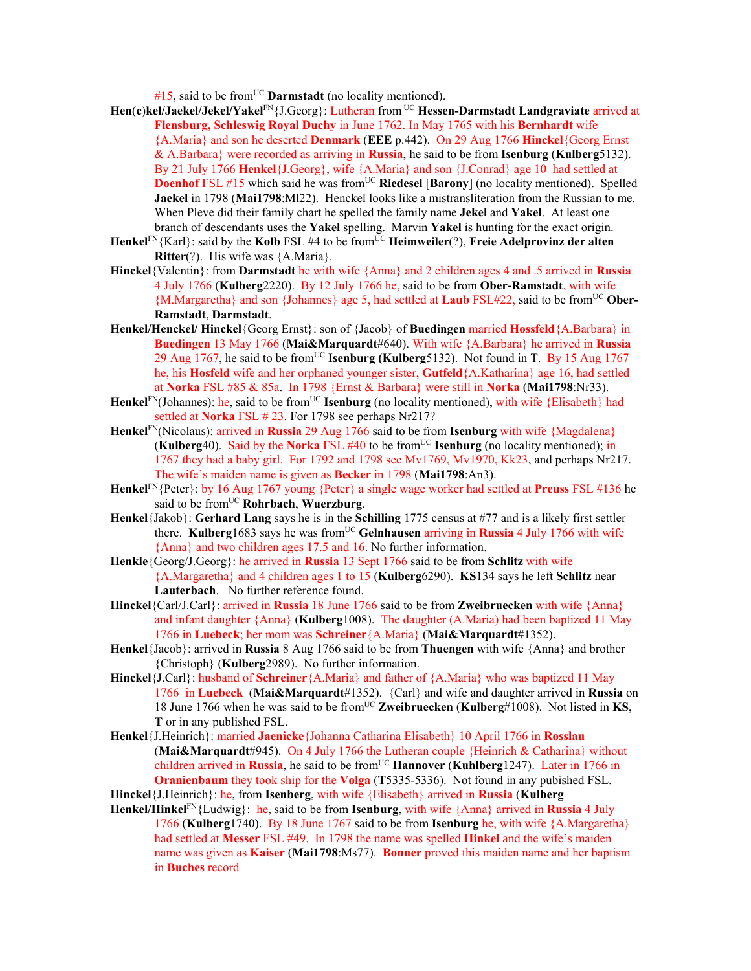$#15$ , said to be from<sup>UC</sup> **Darmstadt** (no locality mentioned).

- **Hen**(**c**)**kel/Jaekel/Jekel/Yakel**FN{J.Georg}: Lutheran from UC **Hessen-Darmstadt Landgraviate** arrived at **Flensburg, Schleswig Royal Duchy** in June 1762. In May 1765 with his **Bernhardt** wife {A.Maria} and son he deserted **Denmark** (**EEE** p.442). On 29 Aug 1766 **Hinckel**{Georg Ernst & A.Barbara} were recorded as arriving in **Russia**, he said to be from **Isenburg** (**Kulberg**5132). By 21 July 1766 **Henkel**{J.Georg}, wife {A.Maria} and son {J.Conrad} age 10 had settled at **Doenhof** FSL #15 which said he was from<sup>UC</sup> Riedesel [Barony] (no locality mentioned). Spelled **Jaekel** in 1798 (**Mai1798**:Ml22). Henckel looks like a mistransliteration from the Russian to me. When Pleve did their family chart he spelled the family name **Jekel** and **Yakel**. At least one branch of descendants uses the **Yakel** spelling. Marvin **Yakel** is hunting for the exact origin.
- **Henkel**FN{Karl}: said by the **Kolb** FSL #4 to be fromUC **Heimweiler**(?), **Freie Adelprovinz der alten Ritter**(?). His wife was {A.Maria}.
- **Hinckel**{Valentin}: from **Darmstadt** he with wife {Anna} and 2 children ages 4 and .5 arrived in **Russia**  4 July 1766 (**Kulberg**2220). By 12 July 1766 he, said to be from **Ober-Ramstadt**, with wife {M.Margaretha} and son {Johannes} age 5, had settled at **Laub** FSL#22, said to be fromUC **Ober-Ramstadt**, **Darmstadt**.
- **Henkel/Henckel/ Hinckel**{Georg Ernst}: son of {Jacob} of **Buedingen** married **Hossfeld**{A.Barbara} in **Buedingen** 13 May 1766 (**Mai&Marquardt**#640). With wife {A.Barbara} he arrived in **Russia** 29 Aug 1767, he said to be fromUC **Isenburg (Kulberg**5132). Not found in T. By 15 Aug 1767 he, his **Hosfeld** wife and her orphaned younger sister, **Gutfeld**{A.Katharina} age 16, had settled at **Norka** FSL #85 & 85a. In 1798 {Ernst & Barbara} were still in **Norka** (**Mai1798**:Nr33).
- Henkel<sup>FN</sup>(Johannes): he, said to be from<sup>UC</sup> **Isenburg** (no locality mentioned), with wife {Elisabeth} had settled at **Norka** FSL # 23. For 1798 see perhaps Nr217?
- **Henkel**FN(Nicolaus): arrived in **Russia** 29 Aug 1766 said to be from **Isenburg** with wife {Magdalena}  $(Kulberg40)$ . Said by the **Norka** FSL #40 to be from<sup>UC</sup> **Isenburg** (no locality mentioned); in 1767 they had a baby girl. For 1792 and 1798 see Mv1769, Mv1970, Kk23, and perhaps Nr217. The wife's maiden name is given as **Becker** in 1798 (**Mai1798**:An3).
- **Henkel**FN{Peter}: by 16 Aug 1767 young {Peter} a single wage worker had settled at **Preuss** FSL #136 he said to be fromUC **Rohrbach**, **Wuerzburg**.
- **Henkel**{Jakob}: **Gerhard Lang** says he is in the **Schilling** 1775 census at #77 and is a likely first settler there. **Kulberg**1683 says he was fromUC **Gelnhausen** arriving in **Russia** 4 July 1766 with wife {Anna} and two children ages 17.5 and 16. No further information.
- **Henkle**{Georg/J.Georg}: he arrived in **Russia** 13 Sept 1766 said to be from **Schlitz** with wife {A.Margaretha} and 4 children ages 1 to 15 (**Kulberg**6290). **KS**134 says he left **Schlitz** near **Lauterbach**. No further reference found.
- **Hinckel**{Carl/J.Carl}: arrived in **Russia** 18 June 1766 said to be from **Zweibruecken** with wife {Anna} and infant daughter {Anna} (**Kulberg**1008). The daughter (A.Maria) had been baptized 11 May 1766 in **Luebeck**; her mom was **Schreiner**{A.Maria} (**Mai&Marquardt**#1352).
- **Henkel**{Jacob}: arrived in **Russia** 8 Aug 1766 said to be from **Thuengen** with wife {Anna} and brother {Christoph} (**Kulberg**2989). No further information.
- **Hinckel**{J.Carl}: husband of **Schreiner**{A.Maria} and father of {A.Maria} who was baptized 11 May 1766 in **Luebeck** (**Mai&Marquardt**#1352). {Carl} and wife and daughter arrived in **Russia** on 18 June 1766 when he was said to be fromUC **Zweibruecken** (**Kulberg**#1008). Not listed in **KS**, **T** or in any published FSL.
- **Henkel**{J.Heinrich}: married **Jaenicke**{Johanna Catharina Elisabeth} 10 April 1766 in **Rosslau** (**Mai&Marquardt**#945). On 4 July 1766 the Lutheran couple {Heinrich & Catharina} without children arrived in Russia, he said to be from<sup>UC</sup> Hannover (Kuhlberg1247). Later in 1766 in **Oranienbaum** they took ship for the **Volga** (**T**5335-5336). Not found in any pubished FSL.

**Hinckel**{J.Heinrich}: he, from **Isenberg**, with wife {Elisabeth} arrived in **Russia** (**Kulberg**

**Henkel/Hinkel**FN{Ludwig}: he, said to be from **Isenburg**, with wife {Anna} arrived in **Russia** 4 July 1766 (**Kulberg**1740). By 18 June 1767 said to be from **Isenburg** he, with wife {A.Margaretha} had settled at **Messer** FSL #49. In 1798 the name was spelled **Hinkel** and the wife's maiden name was given as **Kaiser** (**Mai1798**:Ms77). **Bonner** proved this maiden name and her baptism in **Buches** record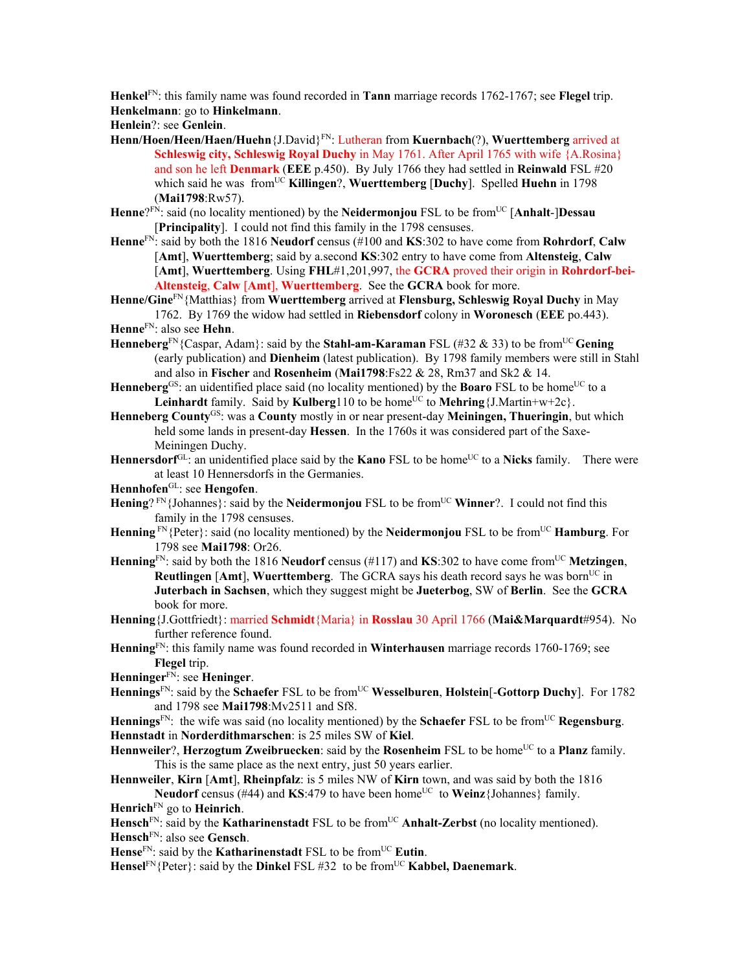**Henkel**FN: this family name was found recorded in **Tann** marriage records 1762-1767; see **Flegel** trip. **Henkelmann**: go to **Hinkelmann**.

**Henlein**?: see **Genlein**.

- **Henn/Hoen/Heen/Haen/Huehn**{J.David}FN: Lutheran from **Kuernbach**(?), **Wuerttemberg** arrived at **Schleswig city, Schleswig Royal Duchy** in May 1761. After April 1765 with wife {A.Rosina} and son he left **Denmark** (**EEE** p.450). By July 1766 they had settled in **Reinwald** FSL #20 which said he was from<sup>UC</sup> **Killingen**?, **Wuerttemberg** [Duchy]. Spelled **Huehn** in 1798 (**Mai1798**:Rw57).
- **Henne**?FN: said (no locality mentioned) by the **Neidermonjou** FSL to be fromUC [**Anhalt**-]**Dessau** [**Principality**]. I could not find this family in the 1798 censuses.
- **Henne**FN: said by both the 1816 **Neudorf** census (#100 and **KS**:302 to have come from **Rohrdorf**, **Calw** [**Amt**], **Wuerttemberg**; said by a.second **KS**:302 entry to have come from **Altensteig**, **Calw** [**Amt**], **Wuerttemberg**. Using **FHL**#1,201,997, the **GCRA** proved their origin in **Rohrdorf-bei-Altensteig**, **Calw** [**Amt**], **Wuerttemberg**. See the **GCRA** book for more.
- **Henne/Gine**FN{Matthias} from **Wuerttemberg** arrived at **Flensburg, Schleswig Royal Duchy** in May 1762. By 1769 the widow had settled in **Riebensdorf** colony in **Woronesch** (**EEE** po.443).
- **Henne**FN: also see **Hehn**.
- **Henneberg**FN{Caspar, Adam}: said by the **Stahl-am-Karaman** FSL (#32 & 33) to be fromUC **Gening** (early publication) and **Dienheim** (latest publication). By 1798 family members were still in Stahl and also in **Fischer** and **Rosenheim** (**Mai1798**:Fs22 & 28, Rm37 and Sk2 & 14.
- Henneberg<sup>GS</sup>: an uidentified place said (no locality mentioned) by the **Boaro** FSL to be home<sup>UC</sup> to a **Leinhardt** family. Said by **Kulberg**110 to be home<sup>UC</sup> to **Mehring**{J.Martin+w+2c}.
- **Henneberg County**GS: was a **County** mostly in or near present-day **Meiningen, Thueringin**, but which held some lands in present-day **Hessen**. In the 1760s it was considered part of the Saxe-Meiningen Duchy.
- Hennersdorf<sup>GL</sup>: an unidentified place said by the **Kano** FSL to be home<sup>UC</sup> to a **Nicks** family. There were at least 10 Hennersdorfs in the Germanies.
- **Hennhofen**GL: see **Hengofen**.
- **Hening**? FN{Johannes}: said by the **Neidermonjou** FSL to be from<sup>UC</sup> **Winner**?. I could not find this family in the 1798 censuses.
- **Henning** FN{Peter}: said (no locality mentioned) by the **Neidermonjou** FSL to be from<sup>UC</sup> **Hamburg**. For 1798 see **Mai1798**: Or26.
- **Henning**FN: said by both the 1816 **Neudorf** census (#117) and **KS**:302 to have come fromUC **Metzingen**, **Reutlingen** [Amt], **Wuerttemberg**. The GCRA says his death record says he was born<sup>UC</sup> in **Juterbach in Sachsen**, which they suggest might be **Jueterbog**, SW of **Berlin**. See the **GCRA** book for more.
- **Henning**{J.Gottfriedt}: married **Schmidt**{Maria} in **Rosslau** 30 April 1766 (**Mai&Marquardt**#954). No further reference found.
- **Henning**FN: this family name was found recorded in **Winterhausen** marriage records 1760-1769; see **Flegel** trip.
- **Henninger**FN: see **Heninger**.
- **Hennings**<sup>FN</sup>: said by the **Schaefer** FSL to be from<sup>UC</sup> **Wesselburen**, **Holstein**[-**Gottorp Duchy**]. For 1782 and 1798 see **Mai1798**:Mv2511 and Sf8.
- **Hennings**<sup>FN</sup>: the wife was said (no locality mentioned) by the **Schaefer** FSL to be from<sup>UC</sup> **Regensburg**. **Hennstadt** in **Norderdithmarschen**: is 25 miles SW of **Kiel**.
- **Hennweiler?, Herzogtum Zweibruecken**: said by the **Rosenheim** FSL to be home<sup>UC</sup> to a **Planz** family. This is the same place as the next entry, just 50 years earlier.
- **Hennweiler**, **Kirn** [**Amt**], **Rheinpfalz**: is 5 miles NW of **Kirn** town, and was said by both the 1816 **Neudorf** census (#44) and **KS**:479 to have been home<sup>UC</sup> to **Weinz**{Johannes} family.
- **Henrich**FN go to **Heinrich**.
- Hensch<sup>FN</sup>: said by the **Katharinenstadt** FSL to be from<sup>UC</sup> **Anhalt-Zerbst** (no locality mentioned). **Hensch**FN: also see **Gensch**.
- Hense<sup>FN</sup>: said by the **Katharinenstadt** FSL to be from<sup>UC</sup> Eutin.
- **Hensel**<sup>FN</sup>{Peter}: said by the **Dinkel** FSL #32 to be from<sup>UC</sup> **Kabbel, Daenemark**.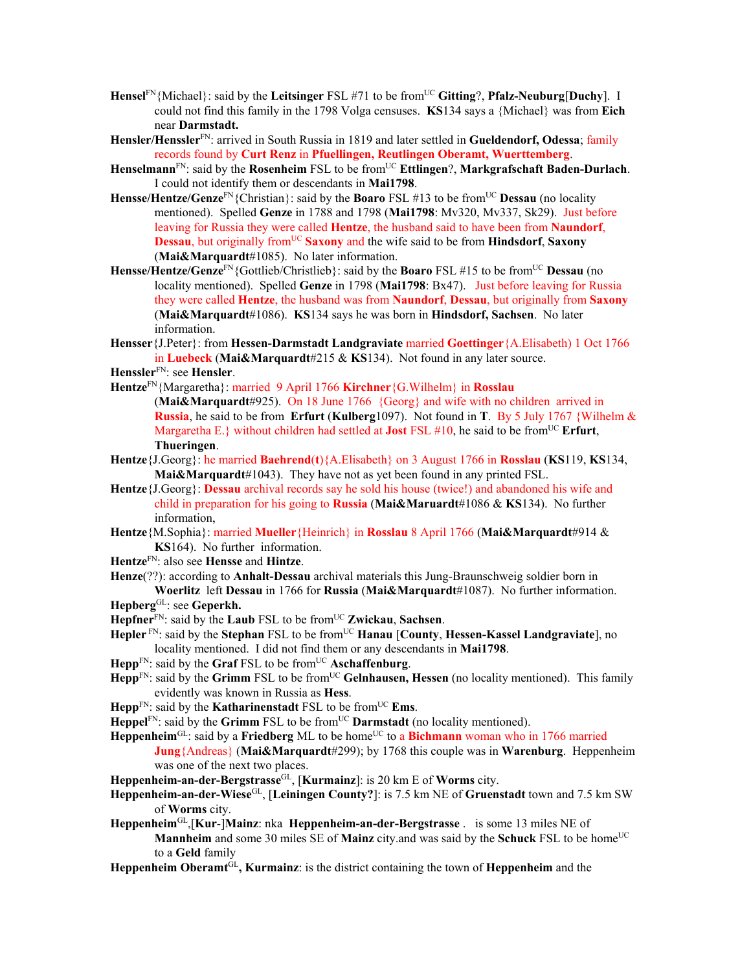- **Hensel**FN{Michael}: said by the **Leitsinger** FSL #71 to be fromUC **Gitting**?, **Pfalz-Neuburg**[**Duchy**]. I could not find this family in the 1798 Volga censuses. **KS**134 says a {Michael} was from **Eich**  near **Darmstadt.**
- **Hensler/Henssler**FN: arrived in South Russia in 1819 and later settled in **Gueldendorf, Odessa**; family records found by **Curt Renz** in **Pfuellingen, Reutlingen Oberamt, Wuerttemberg**.
- Henselmann<sup>FN</sup>: said by the Rosenheim FSL to be from<sup>UC</sup> Ettlingen?, Markgrafschaft Baden-Durlach. I could not identify them or descendants in **Mai1798**.
- **Hensse/Hentze/Genze**FN{Christian}: said by the **Boaro** FSL #13 to be fromUC **Dessau** (no locality mentioned). Spelled **Genze** in 1788 and 1798 (**Mai1798**: Mv320, Mv337, Sk29). Just before leaving for Russia they were called **Hentze**, the husband said to have been from **Naundorf**, **Dessau**, but originally from<sup>UC</sup> Saxony and the wife said to be from **Hindsdorf**, Saxony (**Mai&Marquardt**#1085). No later information.
- **Hensse/Hentze/Genze**<sup>FN</sup>{Gottlieb/Christlieb}: said by the **Boaro** FSL #15 to be from<sup>UC</sup> **Dessau** (no locality mentioned). Spelled **Genze** in 1798 (**Mai1798**: Bx47). Just before leaving for Russia they were called **Hentze**, the husband was from **Naundorf**, **Dessau**, but originally from **Saxony** (**Mai&Marquardt**#1086). **KS**134 says he was born in **Hindsdorf, Sachsen**. No later information.
- **Hensser**{J.Peter}: from **Hessen-Darmstadt Landgraviate** married **Goettinger**{A.Elisabeth) 1 Oct 1766 in **Luebeck** (**Mai&Marquardt**#215 & **KS**134). Not found in any later source.
- **Henssler**FN: see **Hensler**.
- **Hentze**FN{Margaretha}: married 9 April 1766 **Kirchner**{G.Wilhelm} in **Rosslau**
	- (**Mai&Marquardt**#925). On 18 June 1766 {Georg} and wife with no children arrived in **Russia**, he said to be from **Erfurt** (**Kulberg**1097). Not found in **T**. By 5 July 1767 {Wilhelm & Margaretha E.} without children had settled at **Jost** FSL  $\#10$ , he said to be from<sup>UC</sup> **Erfurt**, **Thueringen**.
- **Hentze**{J.Georg}: he married **Baehrend**(**t**){A.Elisabeth} on 3 August 1766 in **Rosslau** (**KS**119, **KS**134, **Mai&Marquardt**#1043). They have not as yet been found in any printed FSL.
- **Hentze**{J.Georg}: **Dessau** archival records say he sold his house (twice!) and abandoned his wife and child in preparation for his going to **Russia** (**Mai&Maruardt**#1086 & **KS**134). No further information,
- **Hentze**{M.Sophia}: married **Mueller**{Heinrich} in **Rosslau** 8 April 1766 (**Mai&Marquardt**#914 & **KS**164). No further information.
- **Hentze**FN: also see **Hensse** and **Hintze**.
- **Henze**(??): according to **Anhalt-Dessau** archival materials this Jung-Braunschweig soldier born in **Woerlitz** left **Dessau** in 1766 for **Russia** (**Mai&Marquardt**#1087). No further information. **Hepberg**GL: see **Geperkh.**
- 
- **Hepfner**FN: said by the **Laub** FSL to be fromUC **Zwickau**, **Sachsen**.
- **Hepler**<sup>FN</sup>: said by the **Stephan** FSL to be from<sup>UC</sup> **Hanau** [County, **Hessen-Kassel Landgraviate**], no locality mentioned. I did not find them or any descendants in **Mai1798**.
- **Hepp**FN: said by the **Graf** FSL to be from<sup>UC</sup> **Aschaffenburg**.
- $\text{Hepp}^{\text{FN}}$ : said by the **Grimm** FSL to be from<sup>UC</sup> **Gelnhausen**, **Hessen** (no locality mentioned). This family evidently was known in Russia as **Hess**.
- **Hepp**<sup>FN</sup>: said by the **Katharinenstadt** FSL to be from<sup>UC</sup> **Ems**.
- **Heppel**<sup>FN</sup>: said by the **Grimm** FSL to be from<sup>UC</sup> **Darmstadt** (no locality mentioned).
- Heppenheim<sup>GL</sup>: said by a Friedberg ML to be home<sup>UC</sup> to a Bichmann woman who in 1766 married **Jung**{Andreas} (**Mai&Marquardt**#299); by 1768 this couple was in **Warenburg**. Heppenheim was one of the next two places.
- **Heppenheim-an-der-Bergstrasse**GL, [**Kurmainz**]: is 20 km E of **Worms** city.
- **Heppenheim-an-der-Wiese**GL, [**Leiningen County?**]: is 7.5 km NE of **Gruenstadt** town and 7.5 km SW of **Worms** city.
- **Heppenheim**GL,[**Kur**-]**Mainz**: nka **Heppenheim-an-der-Bergstrasse** . is some 13 miles NE of **Mannheim** and some 30 miles SE of Mainz city.and was said by the Schuck FSL to be home<sup>UC</sup> to a **Geld** family
- Heppenheim Oberamt<sup>GL</sup>, Kurmainz: is the district containing the town of Heppenheim and the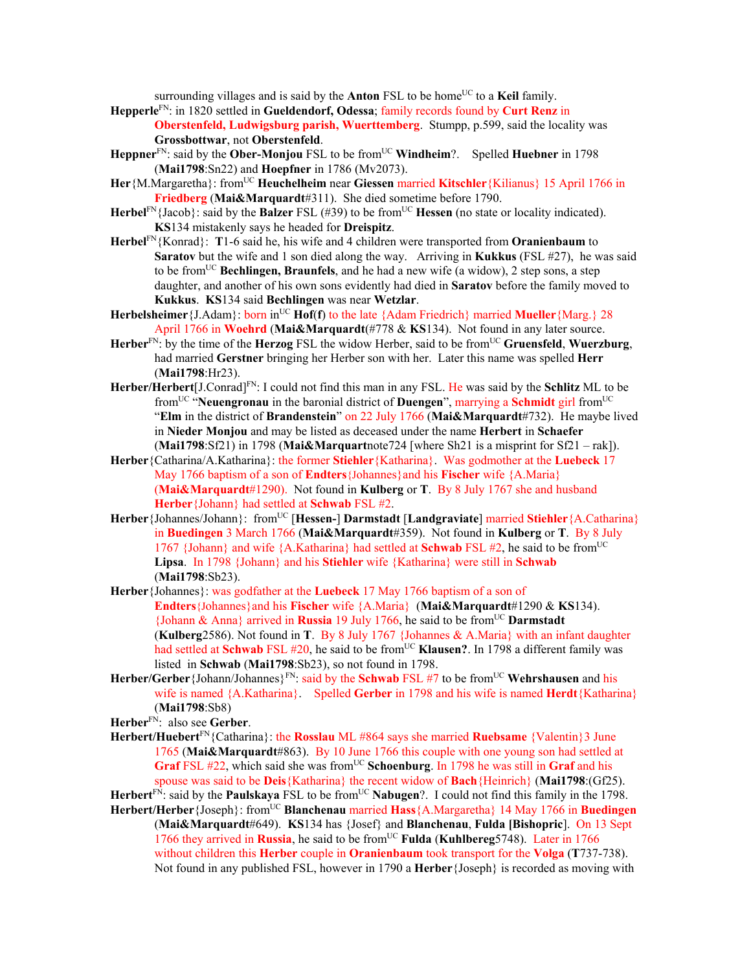surrounding villages and is said by the **Anton** FSL to be home<sup>UC</sup> to a **Keil** family.

- **Hepperle**FN: in 1820 settled in **Gueldendorf, Odessa**; family records found by **Curt Renz** in **Oberstenfeld, Ludwigsburg parish, Wuerttemberg**. Stumpp, p.599, said the locality was **Grossbottwar**, not **Oberstenfeld**.
- Heppner<sup>FN</sup>: said by the **Ober-Monjou** FSL to be from<sup>UC</sup> Windheim?. Spelled Huebner in 1798 (**Mai1798**:Sn22) and **Hoepfner** in 1786 (Mv2073).
- **Her** {M.Margaretha}: from<sup>UC</sup> **Heuchelheim** near **Giessen** married **Kitschler** {Kilianus} 15 April 1766 in **Friedberg** (**Mai&Marquardt**#311). She died sometime before 1790.
- Herbel<sup>FN</sup>{Jacob}: said by the **Balzer** FSL (#39) to be from<sup>UC</sup> Hessen (no state or locality indicated). **KS**134 mistakenly says he headed for **Dreispitz**.
- **Herbel**FN{Konrad}: **T**1-6 said he, his wife and 4 children were transported from **Oranienbaum** to **Saratov** but the wife and 1 son died along the way. Arriving in **Kukkus** (FSL #27), he was said to be from<sup>UC</sup> **Bechlingen, Braunfels**, and he had a new wife (a widow), 2 step sons, a step daughter, and another of his own sons evidently had died in **Saratov** before the family moved to **Kukkus**. **KS**134 said **Bechlingen** was near **Wetzlar**.
- **Herbelsheimer** {J.Adam}: born in<sup>UC</sup> **Hof**(**f**) to the late {Adam Friedrich} married **Mueller** {Marg.} 28 April 1766 in **Woehrd** (**Mai&Marquardt**(#778 & **KS**134). Not found in any later source.
- **Herber**<sup>FN</sup>: by the time of the **Herzog** FSL the widow Herber, said to be from<sup>UC</sup> Gruensfeld, Wuerzburg, had married **Gerstner** bringing her Herber son with her. Later this name was spelled **Herr** (**Mai1798**:Hr23).
- **Herber/Herbert**[J.Conrad]FN: I could not find this man in any FSL. He was said by the **Schlitz** ML to be fromUC "**Neuengronau** in the baronial district of **Duengen**", marrying a **Schmidt** girl fromUC "**Elm** in the district of **Brandenstein**" on 22 July 1766 (**Mai&Marquardt**#732). He maybe lived in **Nieder Monjou** and may be listed as deceased under the name **Herbert** in **Schaefer** (**Mai1798**:Sf21) in 1798 (**Mai&Marquart**note724 [where Sh21 is a misprint for Sf21 – rak]).
- **Herber**{Catharina/A.Katharina}: the former **Stiehler**{Katharina}. Was godmother at the **Luebeck** 17 May 1766 baptism of a son of **Endters**{Johannes}and his **Fischer** wife {A.Maria} (**Mai&Marquardt**#1290). Not found in **Kulberg** or **T**. By 8 July 1767 she and husband **Herber**{Johann} had settled at **Schwab** FSL #2.
- Herber {Johannes/Johann}: from<sup>UC</sup> [Hessen-] Darmstadt [Landgraviate] married Stiehler {A.Catharina} in **Buedingen** 3 March 1766 (**Mai&Marquardt**#359).Not found in **Kulberg** or **T**. By 8 July 1767 {Johann} and wife  ${A.Katharina}$  had settled at **Schwab** FSL #2, he said to be from<sup>UC</sup> **Lipsa**. In 1798 {Johann} and his **Stiehler** wife {Katharina} were still in **Schwab** (**Mai1798**:Sb23).
- **Herber**{Johannes}: was godfather at the **Luebeck** 17 May 1766 baptism of a son of **Endters**{Johannes}and his **Fischer** wife {A.Maria} (**Mai&Marquardt**#1290 & **KS**134). {Johann & Anna} arrived in **Russia** 19 July 1766, he said to be fromUC **Darmstadt**  (**Kulberg**2586). Not found in **T**. By 8 July 1767 {Johannes & A.Maria} with an infant daughter had settled at **Schwab** FSL #20, he said to be from<sup>UC</sup> **Klausen?**. In 1798 a different family was listed in **Schwab** (**Mai1798**:Sb23), so not found in 1798.
- Herber/Gerber {Johann/Johannes}<sup>FN</sup>: said by the **Schwab** FSL #7 to be from<sup>UC</sup> Wehrshausen and his wife is named {A.Katharina}. Spelled **Gerber** in 1798 and his wife is named **Herdt**{Katharina} (**Mai1798**:Sb8)

**Herber**FN: also see **Gerber**.

- **Herbert/Huebert**FN{Catharina}: the **Rosslau** ML #864 says she married **Ruebsame** {Valentin}3 June 1765 (**Mai&Marquardt**#863). By 10 June 1766 this couple with one young son had settled at **Graf** FSL #22, which said she was from<sup>UC</sup> Schoenburg. In 1798 he was still in Graf and his spouse was said to be **Deis**{Katharina} the recent widow of **Bach**{Heinrich} (**Mai1798**:(Gf25).
- Herbert<sup>FN</sup>: said by the **Paulskaya** FSL to be from<sup>UC</sup> **Nabugen**?. I could not find this family in the 1798.
- **Herbert/Herber** {Joseph}: from<sup>UC</sup> **Blanchenau married Hass** {A.Margaretha} 14 May 1766 in **Buedingen** (**Mai&Marquardt**#649). **KS**134 has {Josef} and **Blanchenau**, **Fulda [Bishopric**]. On 13 Sept 1766 they arrived in **Russia**, he said to be fromUC **Fulda** (**Kuhlbereg**5748). Later in 1766 without children this **Herber** couple in **Oranienbaum** took transport for the **Volga** (**T**737-738). Not found in any published FSL, however in 1790 a **Herber**{Joseph} is recorded as moving with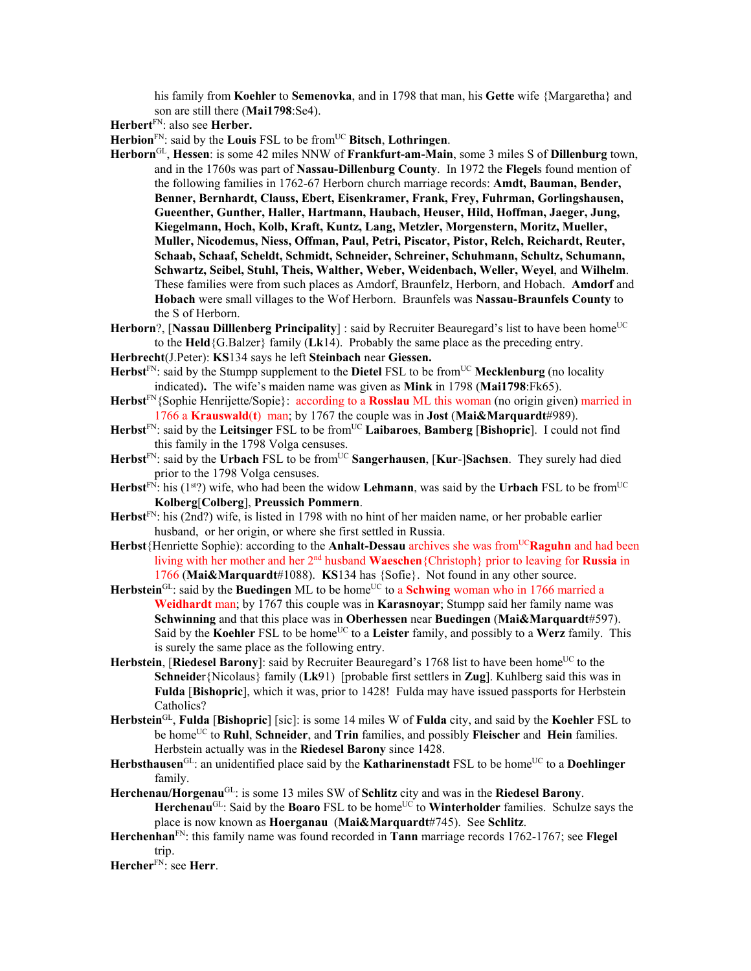his family from **Koehler** to **Semenovka**, and in 1798 that man, his **Gette** wife {Margaretha} and son are still there (**Mai1798**:Se4).

**Herbert**FN: also see **Herber.** 

**Herbion**FN: said by the **Louis** FSL to be fromUC **Bitsch**, **Lothringen**.

- **Herborn**GL, **Hessen**: is some 42 miles NNW of **Frankfurt-am-Main**, some 3 miles S of **Dillenburg** town, and in the 1760s was part of **Nassau-Dillenburg County**. In 1972 the **Flegel**s found mention of the following families in 1762-67 Herborn church marriage records: **Amdt, Bauman, Bender, Benner, Bernhardt, Clauss, Ebert, Eisenkramer, Frank, Frey, Fuhrman, Gorlingshausen, Gueenther, Gunther, Haller, Hartmann, Haubach, Heuser, Hild, Hoffman, Jaeger, Jung, Kiegelmann, Hoch, Kolb, Kraft, Kuntz, Lang, Metzler, Morgenstern, Moritz, Mueller, Muller, Nicodemus, Niess, Offman, Paul, Petri, Piscator, Pistor, Relch, Reichardt, Reuter, Schaab, Schaaf, Scheldt, Schmidt, Schneider, Schreiner, Schuhmann, Schultz, Schumann, Schwartz, Seibel, Stuhl, Theis, Walther, Weber, Weidenbach, Weller, Weyel**, and **Wilhelm**. These families were from such places as Amdorf, Braunfelz, Herborn, and Hobach. **Amdorf** and **Hobach** were small villages to the Wof Herborn. Braunfels was **Nassau-Braunfels County** to the S of Herborn.
- **Herborn**?, [Nassau Dilllenberg Principality] : said by Recruiter Beauregard's list to have been home<sup>UC</sup> to the **Held**{G.Balzer} family (**Lk**14). Probably the same place as the preceding entry.
- **Herbrecht**(J.Peter): **KS**134 says he left **Steinbach** near **Giessen.**
- Herbst<sup>FN</sup>: said by the Stumpp supplement to the Dietel FSL to be from<sup>UC</sup> Mecklenburg (no locality indicated)**.** The wife's maiden name was given as **Mink** in 1798 (**Mai1798**:Fk65).
- **Herbst**FN{Sophie Henrijette/Sopie}: according to a **Rosslau** ML this woman (no origin given) married in 1766 a **Krauswald**(**t**) man; by 1767 the couple was in **Jost** (**Mai&Marquardt**#989).
- **Herbst**FN: said by the **Leitsinger** FSL to be fromUC **Laibaroes**, **Bamberg** [**Bishopric**]. I could not find this family in the 1798 Volga censuses.
- Herbst<sup>FN</sup>: said by the Urbach FSL to be from<sup>UC</sup> Sangerhausen, [Kur-]Sachsen. They surely had died prior to the 1798 Volga censuses.
- **Herbst**<sup>FN</sup>: his ( $1^{st}$ ) wife, who had been the widow **Lehmann**, was said by the **Urbach** FSL to be from<sup>UC</sup> **Kolberg**[**Colberg**], **Preussich Pommern**.
- **Herbst**FN: his (2nd?) wife, is listed in 1798 with no hint of her maiden name, or her probable earlier husband, or her origin, or where she first settled in Russia.
- Herbst {Henriette Sophie): according to the **Anhalt-Dessau archives** she was from<sup>UC</sup>**Raguhn** and had been living with her mother and her 2nd husband **Waeschen**{Christoph} prior to leaving for **Russia** in 1766 (**Mai&Marquardt**#1088). **KS**134 has {Sofie}. Not found in any other source.
- Herbstein<sup>GL</sup>: said by the **Buedingen** ML to be home<sup>UC</sup> to a **Schwing** woman who in 1766 married a **Weidhardt** man; by 1767 this couple was in **Karasnoyar**; Stumpp said her family name was **Schwinning** and that this place was in **Oberhessen** near **Buedingen** (**Mai&Marquardt**#597). Said by the **Koehler** FSL to be home<sup>UC</sup> to a Leister family, and possibly to a Werz family. This is surely the same place as the following entry.
- Herbstein, [Riedesel Barony]: said by Recruiter Beauregard's 1768 list to have been home<sup>UC</sup> to the **Schneide**r{Nicolaus} family (**Lk**91) [probable first settlers in **Zug**]. Kuhlberg said this was in **Fulda** [**Bishopric**], which it was, prior to 1428! Fulda may have issued passports for Herbstein Catholics?
- **Herbstein**GL, **Fulda** [**Bishopric**] [sic]: is some 14 miles W of **Fulda** city, and said by the **Koehler** FSL to be homeUC to **Ruhl**, **Schneider**, and **Trin** families, and possibly **Fleischer** and **Hein** families. Herbstein actually was in the **Riedesel Barony** since 1428.
- Herbsthausen<sup>GL</sup>: an unidentified place said by the **Katharinenstadt** FSL to be home<sup>UC</sup> to a **Doehlinger** family.
- **Herchenau/Horgenau**GL: is some 13 miles SW of **Schlitz** city and was in the **Riedesel Barony**. Herchenau<sup>GL</sup>: Said by the **Boaro** FSL to be home<sup>UC</sup> to **Winterholder** families. Schulze says the place is now known as **Hoerganau** (**Mai&Marquardt**#745). See **Schlitz**.
- **Herchenhan**FN: this family name was found recorded in **Tann** marriage records 1762-1767; see **Flegel** trip.

**Hercher**FN: see **Herr**.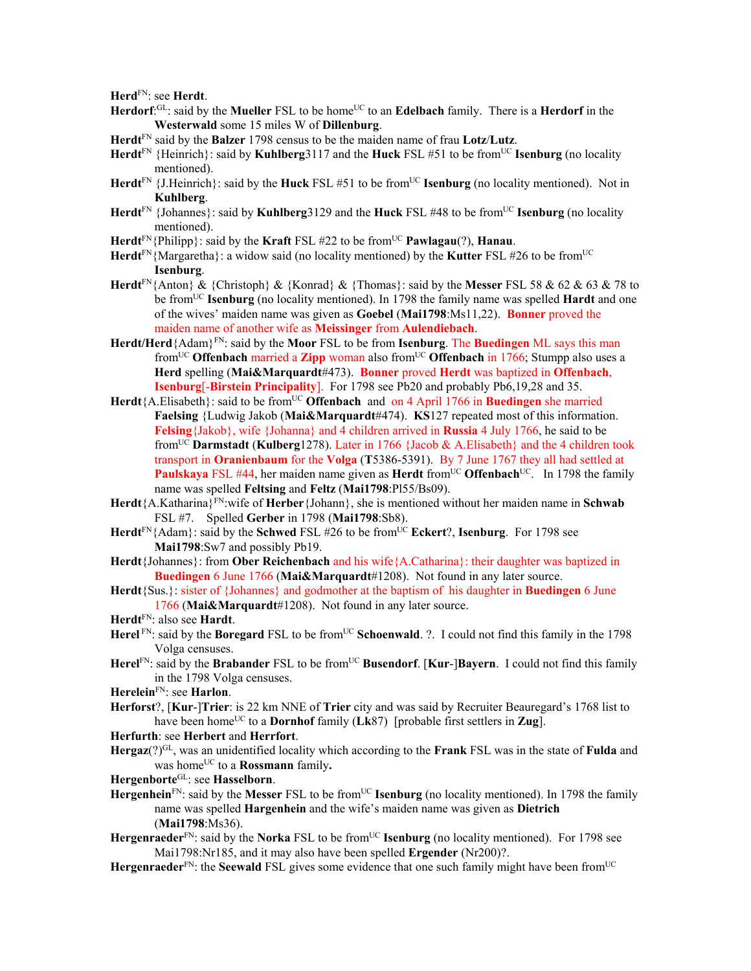**Herd**FN: see **Herdt**.

- **Herdorf**:<sup>GL</sup>: said by the **Mueller** FSL to be home<sup>UC</sup> to an **Edelbach** family. There is a **Herdorf** in the **Westerwald** some 15 miles W of **Dillenburg**.
- **Herdt**FN said by the **Balzer** 1798 census to be the maiden name of frau **Lotz**/**Lutz**.
- **Herdt**<sup>FN</sup> {Heinrich}: said by **Kuhlberg**3117 and the **Huck** FSL #51 to be from<sup>UC</sup> **Isenburg** (no locality mentioned).
- **Herdt**<sup>FN</sup> {J.Heinrich}: said by the **Huck** FSL #51 to be from<sup>UC</sup> **Isenburg** (no locality mentioned). Not in **Kuhlberg**.
- **Herdt**FN {Johannes}: said by **Kuhlberg**3129 and the **Huck** FSL #48 to be fromUC **Isenburg** (no locality mentioned).
- **Herdt**FN{Philipp}: said by the **Kraft** FSL #22 to be fromUC **Pawlagau**(?), **Hanau**.
- **Herdt**FN{Margaretha}: a widow said (no locality mentioned) by the **Kutter** FSL #26 to be fromUC **Isenburg**.
- **Herdt**FN{Anton} & {Christoph} & {Konrad} & {Thomas}: said by the **Messer** FSL 58 & 62 & 63 & 78 to be fromUC **Isenburg** (no locality mentioned). In 1798 the family name was spelled **Hardt** and one of the wives' maiden name was given as **Goebel** (**Mai1798**:Ms11,22). **Bonner** proved the maiden name of another wife as **Meissinger** from **Aulendiebach**.
- **Herdt/Herd**{Adam}FN: said by the **Moor** FSL to be from **Isenburg**. The **Buedingen** ML says this man fromUC **Offenbach** married a **Zipp** woman also fromUC **Offenbach** in 1766; Stumpp also uses a **Herd** spelling (**Mai&Marquardt**#473). **Bonner** proved **Herdt** was baptized in **Offenbach**, **Isenburg**[-**Birstein Principality**]. For 1798 see Pb20 and probably Pb6,19,28 and 35.
- Herdt{A.Elisabeth}: said to be from<sup>UC</sup> Offenbach and on 4 April 1766 in **Buedingen** she married **Faelsing** {Ludwig Jakob (**Mai&Marquardt**#474). **KS**127 repeated most of this information. **Felsing**{Jakob}, wife {Johanna} and 4 children arrived in **Russia** 4 July 1766, he said to be fromUC **Darmstadt** (**Kulberg**1278). Later in 1766 {Jacob & A.Elisabeth} and the 4 children took transport in **Oranienbaum** for the **Volga** (**T**5386-5391). By 7 June 1767 they all had settled at **Paulskaya** FSL #44, her maiden name given as **Herdt** from<sup>UC</sup> **Offenbach**<sup>UC</sup>. In 1798 the family name was spelled **Feltsing** and **Feltz** (**Mai1798**:Pl55/Bs09).
- **Herdt**{A.Katharina}FN:wife of **Herber**{Johann}, she is mentioned without her maiden name in **Schwab** FSL #7. Spelled **Gerber** in 1798 (**Mai1798**:Sb8).
- Herdt<sup>FN</sup>{Adam}: said by the **Schwed** FSL #26 to be from<sup>UC</sup> **Eckert**?, **Isenburg**. For 1798 see **Mai1798**:Sw7 and possibly Pb19.
- **Herdt**{Johannes}: from **Ober Reichenbach** and his wife{A.Catharina}: their daughter was baptized in **Buedingen** 6 June 1766 (**Mai&Marquardt**#1208). Not found in any later source.
- **Herdt**{Sus.}: sister of {Johannes} and godmother at the baptism of his daughter in **Buedingen** 6 June 1766 (**Mai&Marquardt**#1208). Not found in any later source.
- **Herdt**FN: also see **Hardt**.
- Herel<sup>FN</sup>: said by the **Boregard** FSL to be from<sup>UC</sup> Schoenwald. ?. I could not find this family in the 1798 Volga censuses.
- **Herel**<sup>FN</sup>: said by the **Brabander** FSL to be from<sup>UC</sup> **Busendorf**. [**Kur-]Bayern**. I could not find this family in the 1798 Volga censuses.
- **Herelein**FN: see **Harlon**.
- **Herforst**?, [**Kur**-]**Trier**: is 22 km NNE of **Trier** city and was said by Recruiter Beauregard's 1768 list to have been home<sup>UC</sup> to a **Dornhof** family (**Lk**87) [probable first settlers in **Zug**].
- **Herfurth**: see **Herbert** and **Herrfort**.
- **Hergaz**(?)GL, was an unidentified locality which according to the **Frank** FSL was in the state of **Fulda** and was home<sup>UC</sup> to a **Rossmann** family.
- **Hergenborte**GL: see **Hasselborn**.
- Hergenhein<sup>FN</sup>: said by the Messer FSL to be from<sup>UC</sup> **Isenburg** (no locality mentioned). In 1798 the family name was spelled **Hargenhein** and the wife's maiden name was given as **Dietrich** (**Mai1798**:Ms36).
- **Hergenraeder**<sup>FN</sup>: said by the **Norka** FSL to be from<sup>UC</sup> **Isenburg** (no locality mentioned). For 1798 see Mai1798:Nr185, and it may also have been spelled **Ergender** (Nr200)?.
- **Hergenraeder**<sup>FN</sup>: the **Seewald** FSL gives some evidence that one such family might have been from<sup>UC</sup>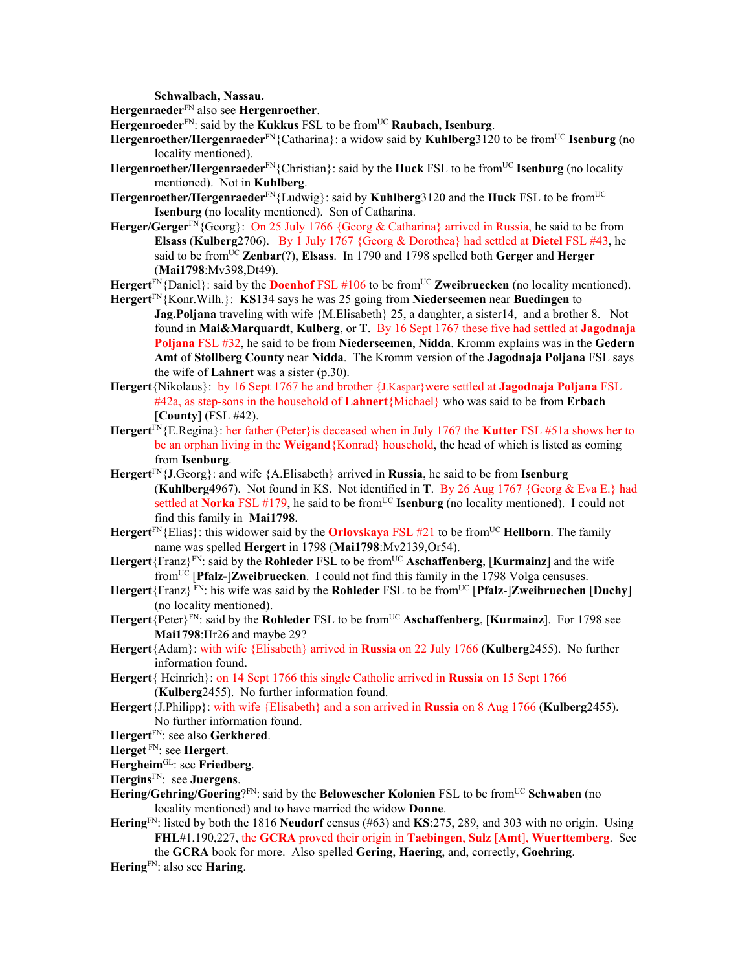**Schwalbach, Nassau.**

**Hergenraeder**FN also see **Hergenroether**.

**Hergenroeder**<sup>FN</sup>: said by the **Kukkus** FSL to be from<sup>UC</sup> **Raubach, Isenburg**.

- **Hergenroether/Hergenraeder**<sup>FN</sup>{Catharina}: a widow said by **Kuhlberg**3120 to be from<sup>UC</sup> **Isenburg** (no locality mentioned).
- **Hergenroether/Hergenraeder**<sup>FN</sup>{Christian}: said by the **Huck** FSL to be from<sup>UC</sup> **Isenburg** (no locality mentioned). Not in **Kuhlberg**.
- **Hergenroether/Hergenraeder**FN{Ludwig}: said by **Kuhlberg**3120 and the **Huck** FSL to be fromUC **Isenburg** (no locality mentioned). Son of Catharina.
- **Herger/Gerger**FN{Georg}: On 25 July 1766 {Georg & Catharina} arrived in Russia, he said to be from **Elsass** (**Kulberg**2706). By 1 July 1767 {Georg & Dorothea} had settled at **Dietel** FSL #43, he said to be from<sup>UC</sup> **Zenbar**(?), **Elsass**. In 1790 and 1798 spelled both **Gerger** and **Herger** (**Mai1798**:Mv398,Dt49).
- **Hergert**<sup>FN</sup>{Daniel}: said by the **Doenhof** FSL #106 to be from<sup>UC</sup> **Zweibruecken** (no locality mentioned).
- **Hergert**FN{Konr.Wilh.}: **KS**134 says he was 25 going from **Niederseemen** near **Buedingen** to **Jag.Poljana** traveling with wife {M.Elisabeth} 25, a daughter, a sister 14, and a brother 8. Not found in **Mai&Marquardt**, **Kulberg**, or **T**. By 16 Sept 1767 these five had settled at **Jagodnaja Poljana** FSL #32, he said to be from **Niederseemen**, **Nidda**. Kromm explains was in the **Gedern Amt** of **Stollberg County** near **Nidda**. The Kromm version of the **Jagodnaja Poljana** FSL says the wife of **Lahnert** was a sister (p.30).
- **Hergert**{Nikolaus}: by 16 Sept 1767 he and brother {J.Kaspar}were settled at **Jagodnaja Poljana** FSL #42a, as step-sons in the household of **Lahnert**{Michael} who was said to be from **Erbach**  [**County**] (FSL #42).
- **Hergert**FN{E.Regina}: her father (Peter}is deceased when in July 1767 the **Kutter** FSL #51a shows her to be an orphan living in the **Weigand**{Konrad} household, the head of which is listed as coming from **Isenburg**.
- **Hergert**FN{J.Georg}: and wife {A.Elisabeth} arrived in **Russia**, he said to be from **Isenburg** (**Kuhlberg**4967). Not found in KS. Not identified in **T**. By 26 Aug 1767 {Georg & Eva E.} had settled at **Norka** FSL #179, he said to be fromUC **Isenburg** (no locality mentioned). I could not find this family in **Mai1798**.
- Hergert<sup>FN</sup>{Elias}: this widower said by the **Orlovskaya** FSL #21 to be from<sup>UC</sup> Hellborn. The family name was spelled **Hergert** in 1798 (**Mai1798**:Mv2139,Or54).
- **Hergert**{Franz}FN: said by the **Rohleder** FSL to be fromUC **Aschaffenberg**, [**Kurmainz**] and the wife fromUC [**Pfalz-**]**Zweibruecken**. I could not find this family in the 1798 Volga censuses.
- **Hergert**{Franz} FN: his wife was said by the **Rohleder** FSL to be fromUC [**Pfalz**-]**Zweibruechen** [**Duchy**] (no locality mentioned).
- **Hergert**{Peter}FN: said by the **Rohleder** FSL to be fromUC **Aschaffenberg**, [**Kurmainz**]. For 1798 see **Mai1798**:Hr26 and maybe 29?
- **Hergert**{Adam}: with wife {Elisabeth} arrived in **Russia** on 22 July 1766 (**Kulberg**2455). No further information found.
- **Hergert**{ Heinrich}: on 14 Sept 1766 this single Catholic arrived in **Russia** on 15 Sept 1766 (**Kulberg**2455). No further information found.
- **Hergert**{J.Philipp}: with wife {Elisabeth} and a son arrived in **Russia** on 8 Aug 1766 (**Kulberg**2455). No further information found.

**Hergert**FN: see also **Gerkhered**.

**Herget** FN: see **Hergert**.

**Hergheim**GL: see **Friedberg**.

**Hergins**FN: see **Juergens**.

- **Hering/Gehring/Goering**?FN: said by the **Belowescher Kolonien** FSL to be fromUC **Schwaben** (no locality mentioned) and to have married the widow **Donne**.
- **Hering**FN: listed by both the 1816 **Neudorf** census (#63) and **KS**:275, 289, and 303 with no origin. Using **FHL**#1,190,227, the **GCRA** proved their origin in **Taebingen**, **Sulz** [**Amt**], **Wuerttemberg**. See

the **GCRA** book for more. Also spelled **Gering**, **Haering**, and, correctly, **Goehring**.

**Hering**FN: also see **Haring**.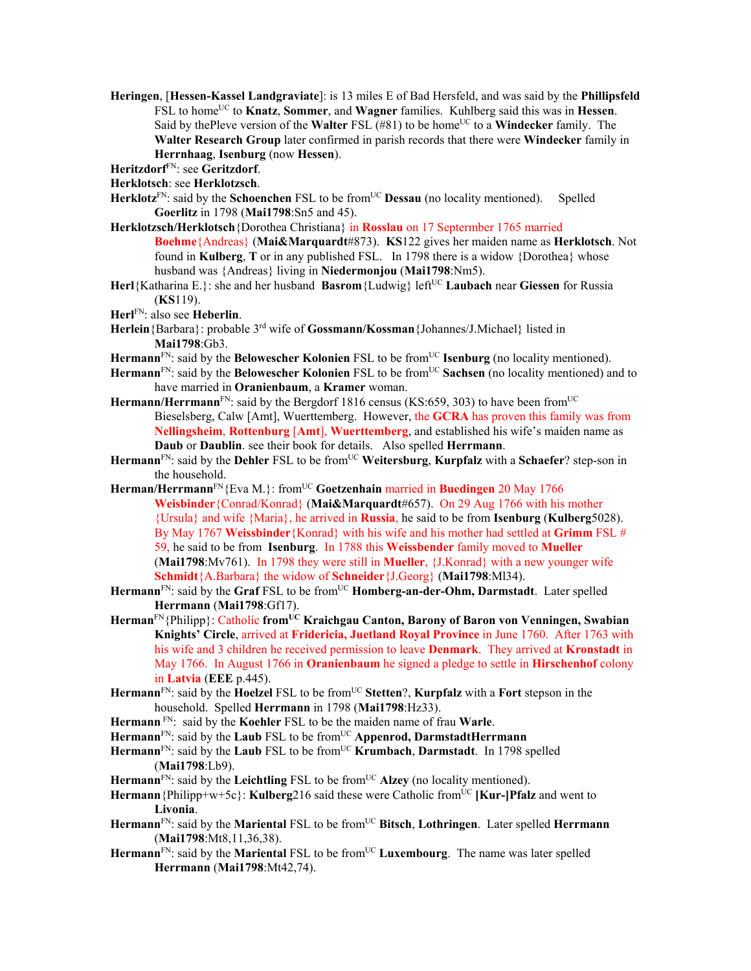- **Heringen**, [**Hessen-Kassel Landgraviate**]: is 13 miles E of Bad Hersfeld, and was said by the **Phillipsfeld** FSL to home<sup>UC</sup> to **Knatz**, **Sommer**, and **Wagner** families. Kuhlberg said this was in **Hessen**. Said by thePleve version of the **Walter** FSL (#81) to be home<sup>UC</sup> to a **Windecker** family. The **Walter Research Group** later confirmed in parish records that there were **Windecker** family in **Herrnhaag**, **Isenburg** (now **Hessen**).
- **Heritzdorf**FN: see **Geritzdorf**.

**Herklotsch**: see **Herklotzsch**.

- Herklotz<sup>FN</sup>: said by the **Schoenchen** FSL to be from<sup>UC</sup> **Dessau** (no locality mentioned). Spelled **Goerlitz** in 1798 (**Mai1798**:Sn5 and 45).
- **Herklotzsch/Herklotsch**{Dorothea Christiana} in **Rosslau** on 17 Septermber 1765 married **Boehme**{Andreas} (**Mai&Marquardt**#873). **KS**122 gives her maiden name as **Herklotsch**. Not found in **Kulberg**, **T** or in any published FSL. In 1798 there is a widow {Dorothea} whose husband was {Andreas} living in **Niedermonjou** (**Mai1798**:Nm5).
- **Herl**{Katharina E.}: she and her husband **Basrom**{Ludwig} leftUC **Laubach** near **Giessen** for Russia (**KS**119).

**Herl**FN: also see **Heberlin**.

- **Herlein**{Barbara}: probable 3rd wife of **Gossmann/Kossman**{Johannes/J.Michael} listed in **Mai1798**:Gb3.
- Hermann<sup>FN</sup>: said by the **Belowescher Kolonien** FSL to be from<sup>UC</sup> **Isenburg** (no locality mentioned).
- **Hermann**FN: said by the **Belowescher Kolonien** FSL to be fromUC **Sachsen** (no locality mentioned) and to have married in **Oranienbaum**, a **Kramer** woman.
- **Hermann/Herrmann**<sup>FN</sup>: said by the Bergdorf 1816 census (KS:659, 303) to have been from<sup>UC</sup> Bieselsberg, Calw [Amt], Wuerttemberg. However, the **GCRA** has proven this family was from **Nellingsheim**, **Rottenburg** [**Amt**], **Wuerttemberg**, and established his wife's maiden name as **Daub** or **Daublin**. see their book for details. Also spelled **Herrmann**.
- **Hermann**FN: said by the **Dehler** FSL to be fromUC **Weitersburg**, **Kurpfalz** with a **Schaefer**? step-son in the household.
- **Herman/Herrmann**FN{Eva M.}: fromUC **Goetzenhain** married in **Buedingen** 20 May 1766 **Weisbinder**{Conrad/Konrad} (**Mai&Marquardt**#657). On 29 Aug 1766 with his mother {Ursula} and wife {Maria}, he arrived in **Russia**, he said to be from **Isenburg** (**Kulberg**5028). By May 1767 **Weissbinder**{Konrad} with his wife and his mother had settled at **Grimm** FSL # 59, he said to be from **Isenburg**. In 1788 this **Weissbender** family moved to **Mueller**  (**Mai1798**:Mv761). In 1798 they were still in **Mueller**, {J.Konrad} with a new younger wife **Schmidt**{A.Barbara} the widow of **Schneider**{J.Georg} (**Mai1798**:Ml34).
- **Hermann**FN: said by the **Graf** FSL to be fromUC **Homberg-an-der-Ohm, Darmstadt**. Later spelled **Herrmann** (**Mai1798**:Gf17).
- **Herman**FN{Philipp}: Catholic **fromUC Kraichgau Canton, Barony of Baron von Venningen, Swabian Knights' Circle**, arrived at **Fridericia, Juetland Royal Province** in June 1760. After 1763 with his wife and 3 children he received permission to leave **Denmark**. They arrived at **Kronstadt** in May 1766. In August 1766 in **Oranienbaum** he signed a pledge to settle in **Hirschenhof** colony in **Latvia** (**EEE** p.445).
- **Hermann**FN: said by the **Hoelzel** FSL to be fromUC **Stetten**?, **Kurpfalz** with a **Fort** stepson in the household. Spelled **Herrmann** in 1798 (**Mai1798**:Hz33).
- **Hermann** FN: said by the **Koehler** FSL to be the maiden name of frau **Warle**.
- Hermann<sup>FN</sup>: said by the **Laub** FSL to be from<sup>UC</sup> **Appenrod, DarmstadtHerrmann**
- Hermann<sup>FN</sup>: said by the **Laub** FSL to be from<sup>UC</sup> **Krumbach**, **Darmstadt**. In 1798 spelled (**Mai1798**:Lb9).
- Hermann<sup>FN</sup>: said by the Leichtling FSL to be from<sup>UC</sup> Alzey (no locality mentioned).
- **Hermann**{Philipp+w+5c}: **Kulberg**216 said these were Catholic fromUC **[Kur-]Pfalz** and went to **Livonia**.
- Hermann<sup>FN</sup>: said by the Mariental FSL to be from<sup>UC</sup> Bitsch, Lothringen. Later spelled Herrmann (**Mai1798**:Mt8,11,36,38).
- **Hermann**FN: said by the **Mariental** FSL to be fromUC **Luxembourg**. The name was later spelled **Herrmann** (**Mai1798**:Mt42,74).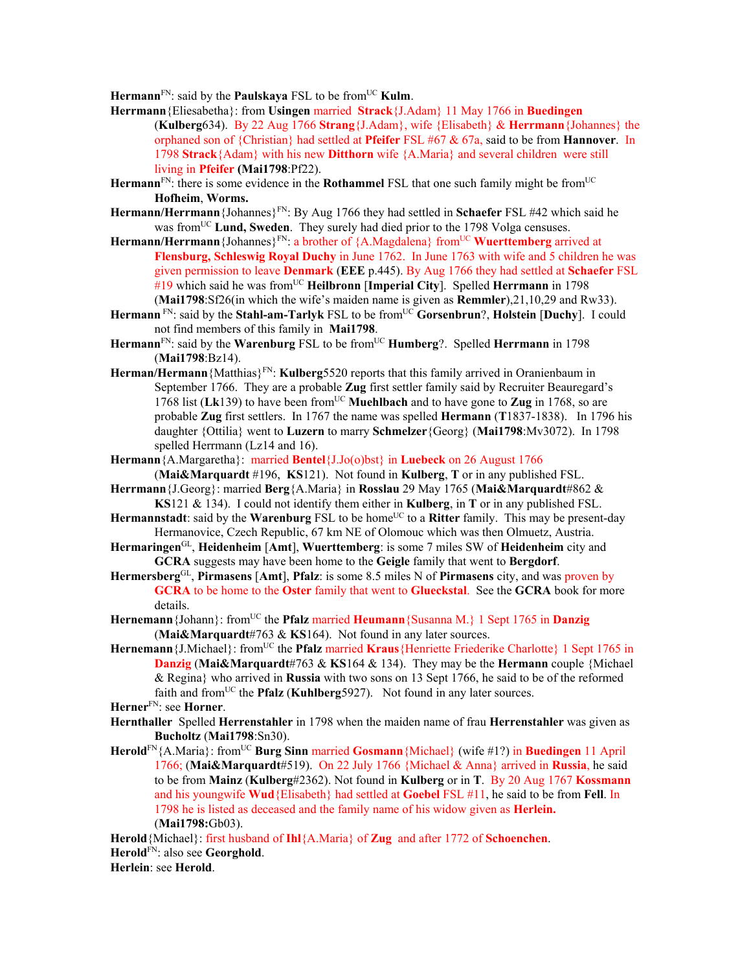**Hermann**<sup>FN</sup>: said by the **Paulskaya** FSL to be from<sup>UC</sup> **Kulm**.

- **Herrmann**{Eliesabetha}: from **Usingen** married **Strack**{J.Adam} 11 May 1766 in **Buedingen**  (**Kulberg**634). By 22 Aug 1766 **Strang**{J.Adam}, wife {Elisabeth} & **Herrmann**{Johannes} the orphaned son of {Christian} had settled at **Pfeifer** FSL #67 & 67a, said to be from **Hannover**. In 1798 **Strack**{Adam} with his new **Ditthorn** wife {A.Maria} and several children were still living in **Pfeifer (Mai1798**:Pf22).
- Hermann<sup>FN</sup>: there is some evidence in the **Rothammel** FSL that one such family might be from<sup>UC</sup> **Hofheim**, **Worms.**
- **Hermann/Herrmann**{Johannes}FN: By Aug 1766 they had settled in **Schaefer** FSL #42 which said he was from<sup>UC</sup> **Lund, Sweden**. They surely had died prior to the 1798 Volga censuses.
- Hermann/Herrmann {Johannes}<sup>FN</sup>: a brother of {A.Magdalena} from<sup>UC</sup> Wuerttemberg arrived at **Flensburg, Schleswig Royal Duchy** in June 1762. In June 1763 with wife and 5 children he was given permission to leave **Denmark** (**EEE** p.445). By Aug 1766 they had settled at **Schaefer** FSL #19 which said he was fromUC **Heilbronn** [**Imperial City**]. Spelled **Herrmann** in 1798 (**Mai1798**:Sf26(in which the wife's maiden name is given as **Remmler**),21,10,29 and Rw33).
- **Hermann** FN: said by the **Stahl-am-Tarlyk** FSL to be fromUC **Gorsenbrun**?, **Holstein** [**Duchy**]. I could not find members of this family in **Mai1798**.
- Hermann<sup>FN</sup>: said by the Warenburg FSL to be from<sup>UC</sup> Humberg?. Spelled Herrmann in 1798 (**Mai1798**:Bz14).
- **Herman/Hermann**{Matthias}FN: **Kulberg**5520 reports that this family arrived in Oranienbaum in September 1766. They are a probable **Zug** first settler family said by Recruiter Beauregard's 1768 list (Lk139) to have been from<sup>UC</sup> Muehlbach and to have gone to Zug in 1768, so are probable **Zug** first settlers. In 1767 the name was spelled **Hermann** (**T**1837-1838). In 1796 his daughter {Ottilia} went to **Luzern** to marry **Schmelzer**{Georg} (**Mai1798**:Mv3072). In 1798 spelled Herrmann (Lz14 and 16).

**Hermann**{A.Margaretha}: married **Bentel**{J.Jo(o)bst} in **Luebeck** on 26 August 1766

- (**Mai&Marquardt** #196, **KS**121). Not found in **Kulberg**, **T** or in any published FSL. **Herrmann**{J.Georg}: married **Berg**{A.Maria} in **Rosslau** 29 May 1765 (**Mai&Marquardt**#862 &
	- **KS**121 & 134). I could not identify them either in **Kulberg**, in **T** or in any published FSL.
- **Hermannstadt**: said by the **Warenburg** FSL to be home<sup>UC</sup> to a **Ritter** family. This may be present-day Hermanovice, Czech Republic, 67 km NE of Olomouc which was then Olmuetz, Austria.
- **Hermaringen**GL, **Heidenheim** [**Amt**], **Wuerttemberg**: is some 7 miles SW of **Heidenheim** city and **GCRA** suggests may have been home to the **Geigle** family that went to **Bergdorf**.
- **Hermersberg**GL, **Pirmasens** [**Amt**], **Pfalz**: is some 8.5 miles N of **Pirmasens** city, and was proven by **GCRA** to be home to the **Oster** family that went to **Glueckstal**. See the **GCRA** book for more details.
- **Hernemann**{Johann}: from<sup>UC</sup> the **Pfalz** married **Heumann**{Susanna M.} 1 Sept 1765 in **Danzig** (**Mai&Marquardt**#763 & **KS**164). Not found in any later sources.
- Hernemann {J.Michael}: from<sup>UC</sup> the **Pfalz** married **Kraus** {Henriette Friederike Charlotte} 1 Sept 1765 in **Danzig** (**Mai&Marquardt**#763 & **KS**164 & 134). They may be the **Hermann** couple {Michael & Regina} who arrived in **Russia** with two sons on 13 Sept 1766, he said to be of the reformed faith and from<sup>UC</sup> the **Pfalz** (**Kuhlberg**5927). Not found in any later sources.

**Herner**FN: see **Horner**.

- **Hernthaller** Spelled **Herrenstahler** in 1798 when the maiden name of frau **Herrenstahler** was given as **Bucholtz** (**Mai1798**:Sn30).
- **Herold**FN{A.Maria}: fromUC **Burg Sinn** married **Gosmann**{Michael} (wife #1?) in **Buedingen** 11 April 1766; (**Mai&Marquardt**#519). On 22 July 1766 {Michael & Anna} arrived in **Russia**, he said to be from **Mainz** (**Kulberg**#2362). Not found in **Kulberg** or in **T**. By 20 Aug 1767 **Kossmann** and his youngwife **Wud**{Elisabeth} had settled at **Goebel** FSL #11, he said to be from **Fell**. In 1798 he is listed as deceased and the family name of his widow given as **Herlein.** (**Mai1798:**Gb03).

**Herold**{Michael}: first husband of **Ihl**{A.Maria} of **Zug** and after 1772 of **Schoenchen**. **Herold**FN: also see **Georghold**.

**Herlein**: see **Herold**.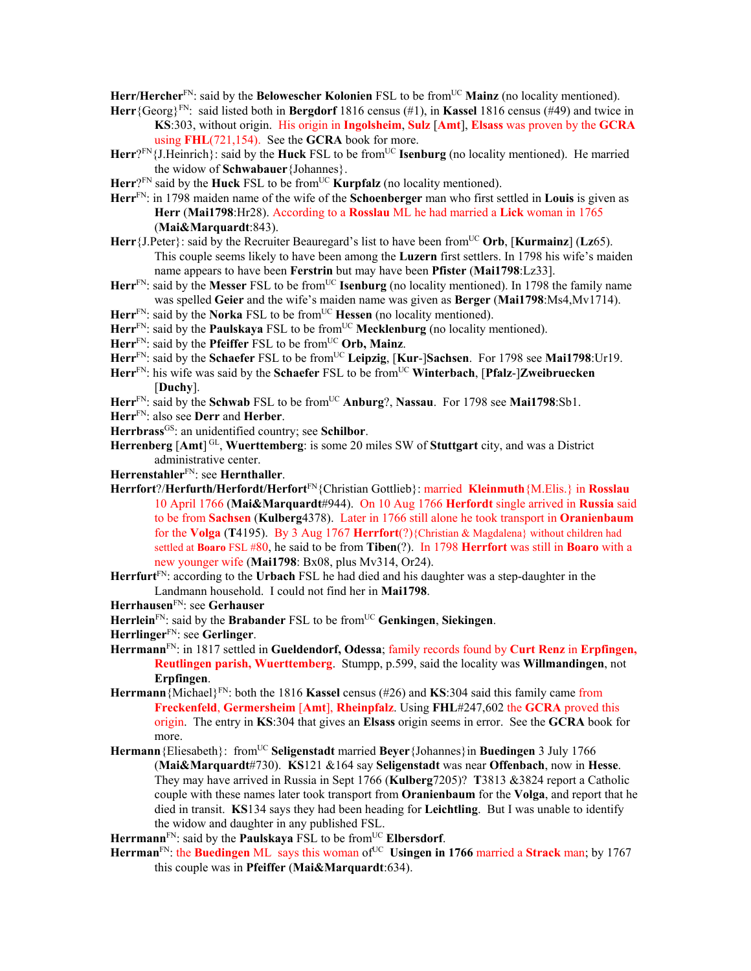Herr/Hercher<sup>FN</sup>: said by the **Belowescher Kolonien** FSL to be from<sup>UC</sup> Mainz (no locality mentioned).

- **Herr**{Georg}FN: said listed both in **Bergdorf** 1816 census (#1), in **Kassel** 1816 census (#49) and twice in **KS**:303, without origin. His origin in **Ingolsheim**, **Sulz** [**Amt**], **Elsass** was proven by the **GCRA**  using **FHL**(721,154). See the **GCRA** book for more.
- **Herr**?FN{J.Heinrich}: said by the **Huck** FSL to be from<sup>UC</sup> **Isenburg** (no locality mentioned). He married the widow of **Schwabauer**{Johannes}.
- $Herr<sup>2FN</sup>$  said by the **Huck** FSL to be from<sup>UC</sup> **Kurpfalz** (no locality mentioned).
- **Herr**FN: in 1798 maiden name of the wife of the **Schoenberger** man who first settled in **Louis** is given as **Herr** (**Mai1798**:Hr28). According to a **Rosslau** ML he had married a **Lick** woman in 1765 (**Mai&Marquardt**:843).
- **Herr** $\{J.Peter\}$ : said by the Recruiter Beauregard's list to have been from<sup>UC</sup> Orb, [**Kurmainz**] (**Lz**65). This couple seems likely to have been among the **Luzern** first settlers. In 1798 his wife's maiden name appears to have been **Ferstrin** but may have been **Pfister** (**Mai1798**:Lz33].
- Herr<sup>FN</sup>: said by the Messer FSL to be from<sup>UC</sup> Isenburg (no locality mentioned). In 1798 the family name was spelled **Geier** and the wife's maiden name was given as **Berger** (**Mai1798**:Ms4,Mv1714).
- Herr<sup>FN</sup>: said by the **Norka** FSL to be from<sup>UC</sup> **Hessen** (no locality mentioned).
- Herr<sup>FN</sup>: said by the **Paulskaya** FSL to be from<sup>UC</sup> **Mecklenburg** (no locality mentioned).
- Herr<sup>FN</sup>: said by the **Pfeiffer** FSL to be from<sup>UC</sup> Orb, Mainz.
- **Herr**FN: said by the **Schaefer** FSL to be fromUC **Leipzig**, [**Kur**-]**Sachsen**. For 1798 see **Mai1798**:Ur19.
- Herr<sup>FN</sup>: his wife was said by the **Schaefer** FSL to be from<sup>UC</sup> **Winterbach**, [Pfalz-]Zweibruecken [**Duchy**].
- **Herr**FN: said by the **Schwab** FSL to be fromUC **Anburg**?, **Nassau**. For 1798 see **Mai1798**:Sb1.
- **Herr**FN: also see **Derr** and **Herber**.
- Herrbrass<sup>GS</sup>: an unidentified country; see **Schilbor**.
- Herrenberg [Amt]<sup>GL</sup>, Wuerttemberg: is some 20 miles SW of Stuttgart city, and was a District administrative center.
- **Herrenstahler**FN: see **Hernthaller**.
- **Herrfort**?/**Herfurth/Herfordt/Herfort**FN{Christian Gottlieb}: married **Kleinmuth**{M.Elis.} in **Rosslau**  10 April 1766 (**Mai&Marquardt**#944). On 10 Aug 1766 **Herfordt** single arrived in **Russia** said to be from **Sachsen** (**Kulberg**4378). Later in 1766 still alone he took transport in **Oranienbaum**  for the **Volga** (**T**4195). By 3 Aug 1767 **Herrfort**(?){Christian & Magdalena} without children had settled at **Boaro** FSL #80, he said to be from **Tiben**(?). In 1798 **Herrfort** was still in **Boaro** with a new younger wife (**Mai1798**: Bx08, plus Mv314, Or24).
- **Herrfurt**FN: according to the **Urbach** FSL he had died and his daughter was a step-daughter in the Landmann household. I could not find her in **Mai1798**.
- **Herrhausen**FN: see **Gerhauser**
- **Herrlein**FN: said by the **Brabander** FSL to be fromUC **Genkingen**, **Siekingen**.
- **Herrlinger**FN: see **Gerlinger**.
- **Herrmann**FN: in 1817 settled in **Gueldendorf, Odessa**; family records found by **Curt Renz** in **Erpfingen, Reutlingen parish, Wuerttemberg**. Stumpp, p.599, said the locality was **Willmandingen**, not **Erpfingen**.
- **Herrmann** {Michael}<sup>FN</sup>: both the 1816 **Kassel** census (#26) and **KS**:304 said this family came from **Freckenfeld**, **Germersheim** [**Amt**], **Rheinpfalz**. Using **FHL**#247,602 the **GCRA** proved this origin. The entry in **KS**:304 that gives an **Elsass** origin seems in error. See the **GCRA** book for more.
- **Hermann**{Eliesabeth}: fromUC **Seligenstadt** married **Beyer**{Johannes}in **Buedingen** 3 July 1766 (**Mai&Marquardt**#730). **KS**121 &164 say **Seligenstadt** was near **Offenbach**, now in **Hesse**. They may have arrived in Russia in Sept 1766 (**Kulberg**7205)? **T**3813 &3824 report a Catholic couple with these names later took transport from **Oranienbaum** for the **Volga**, and report that he died in transit. **KS**134 says they had been heading for **Leichtling**. But I was unable to identify the widow and daughter in any published FSL.

Herrmann<sup>FN</sup>: said by the **Paulskaya** FSL to be from<sup>UC</sup> **Elbersdorf**.

**Herrman**<sup>FN</sup>: the **Buedingen** ML says this woman of <sup>UC</sup> Usingen in 1766 married a Strack man; by 1767 this couple was in **Pfeiffer** (**Mai&Marquardt**:634).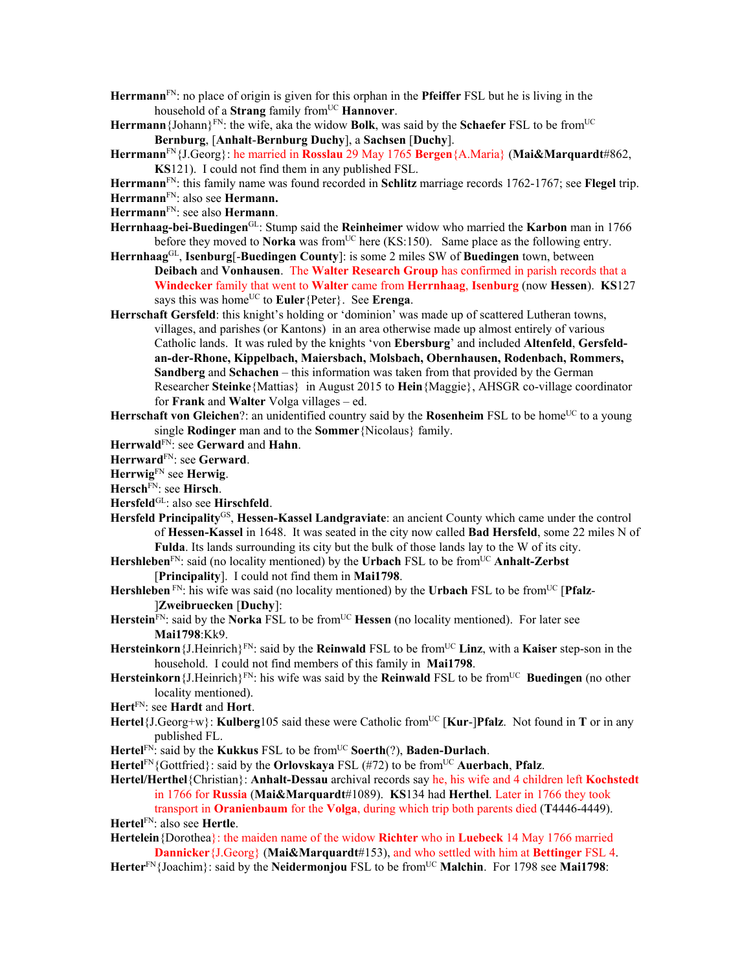- **Herrmann**FN: no place of origin is given for this orphan in the **Pfeiffer** FSL but he is living in the household of a **Strang** family from<sup>UC</sup> **Hannover**.
- **Herrmann** {Johann}<sup>FN</sup>: the wife, aka the widow **Bolk**, was said by the **Schaefer** FSL to be from<sup>UC</sup> **Bernburg**, [**Anhalt**-**Bernburg Duchy**], a **Sachsen** [**Duchy**].
- **Herrmann**FN{J.Georg}: he married in **Rosslau** 29 May 1765 **Bergen**{A.Maria} (**Mai&Marquardt**#862, **KS**121). I could not find them in any published FSL.
- **Herrmann**FN: this family name was found recorded in **Schlitz** marriage records 1762-1767; see **Flegel** trip.
- **Herrmann**FN: also see **Hermann.**
- **Herrmann**FN: see also **Hermann**.
- **Herrnhaag-bei-Buedingen**GL: Stump said the **Reinheimer** widow who married the **Karbon** man in 1766 before they moved to **Norka** was from<sup>UC</sup> here (KS:150). Same place as the following entry.
- **Herrnhaag**GL, **Isenburg**[-**Buedingen County**]: is some 2 miles SW of **Buedingen** town, between **Deibach** and **Vonhausen**. The **Walter Research Group** has confirmed in parish records that a **Windecker** family that went to **Walter** came from **Herrnhaag**, **Isenburg** (now **Hessen**). **KS**127 says this was home<sup>UC</sup> to **Euler** {Peter}. See **Erenga**.
- **Herrschaft Gersfeld**: this knight's holding or 'dominion' was made up of scattered Lutheran towns, villages, and parishes (or Kantons) in an area otherwise made up almost entirely of various Catholic lands. It was ruled by the knights 'von **Ebersburg**' and included **Altenfeld**, **Gersfeldan-der-Rhone, Kippelbach, Maiersbach, Molsbach, Obernhausen, Rodenbach, Rommers, Sandberg** and **Schachen** – this information was taken from that provided by the German Researcher **Steinke**{Mattias} in August 2015 to **Hein**{Maggie}, AHSGR co-village coordinator for **Frank** and **Walter** Volga villages – ed.
- **Herrschaft von Gleichen**?: an unidentified country said by the **Rosenheim** FSL to be home<sup>UC</sup> to a young single **Rodinger** man and to the **Sommer**{Nicolaus} family.
- **Herrwald**FN: see **Gerward** and **Hahn**.
- **Herrward**FN: see **Gerward**.
- **Herrwig**FN see **Herwig**.
- **Hersch**FN: see **Hirsch**.
- Hersfeld<sup>GL</sup>: also see Hirschfeld.
- **Hersfeld Principality**GS, **Hessen-Kassel Landgraviate**: an ancient County which came under the control of **Hessen-Kassel** in 1648. It was seated in the city now called **Bad Hersfeld**, some 22 miles N of **Fulda**. Its lands surrounding its city but the bulk of those lands lay to the W of its city.
- Hershleben<sup>FN</sup>: said (no locality mentioned) by the **Urbach** FSL to be from<sup>UC</sup> Anhalt-Zerbst
	- [**Principality**]. I could not find them in **Mai1798**.
- **Hershleben** FN: his wife was said (no locality mentioned) by the **Urbach** FSL to be fromUC [**Pfalz** ]**Zweibruecken** [**Duchy**]:
- Herstein<sup>FN</sup>: said by the Norka FSL to be from<sup>UC</sup> Hessen (no locality mentioned). For later see **Mai1798**:Kk9.
- **Hersteinkorn**{J.Heinrich}FN: said by the **Reinwald** FSL to be fromUC **Linz**, with a **Kaiser** step-son in the household. I could not find members of this family in **Mai1798**.
- **Hersteinkorn** $\{J.Heinrich\}^{FN}$ : his wife was said by the **Reinwald** FSL to be from<sup>UC</sup> **Buedingen** (no other locality mentioned).
- **Hert**FN: see **Hardt** and **Hort**.
- **Hertel**{J.Georg+w}: **Kulberg**105 said these were Catholic from<sup>UC</sup> [**Kur-]Pfalz**. Not found in **T** or in any published FL.
- **Hertel**FN: said by the **Kukkus** FSL to be fromUC **Soerth**(?), **Baden-Durlach**.
- Hertel<sup>FN</sup>{Gottfried}: said by the **Orlovskaya** FSL (#72) to be from<sup>UC</sup> Auerbach, Pfalz.
- **Hertel/Herthel**{Christian}: **Anhalt-Dessau** archival records say he, his wife and 4 children left **Kochstedt**  in 1766 for **Russia** (**Mai&Marquardt**#1089). **KS**134 had **Herthel**. Later in 1766 they took transport in **Oranienbaum** for the **Volga**, during which trip both parents died (**T**4446-4449).

**Hertel**FN: also see **Hertle**.

**Hertelein**{Dorothea}: the maiden name of the widow **Richter** who in **Luebeck** 14 May 1766 married **Dannicker**{J.Georg} (**Mai&Marquardt**#153), and who settled with him at **Bettinger** FSL 4.

Herter<sup>FN</sup>{Joachim}: said by the **Neidermonjou** FSL to be from<sup>UC</sup> **Malchin**. For 1798 see **Mai1798**: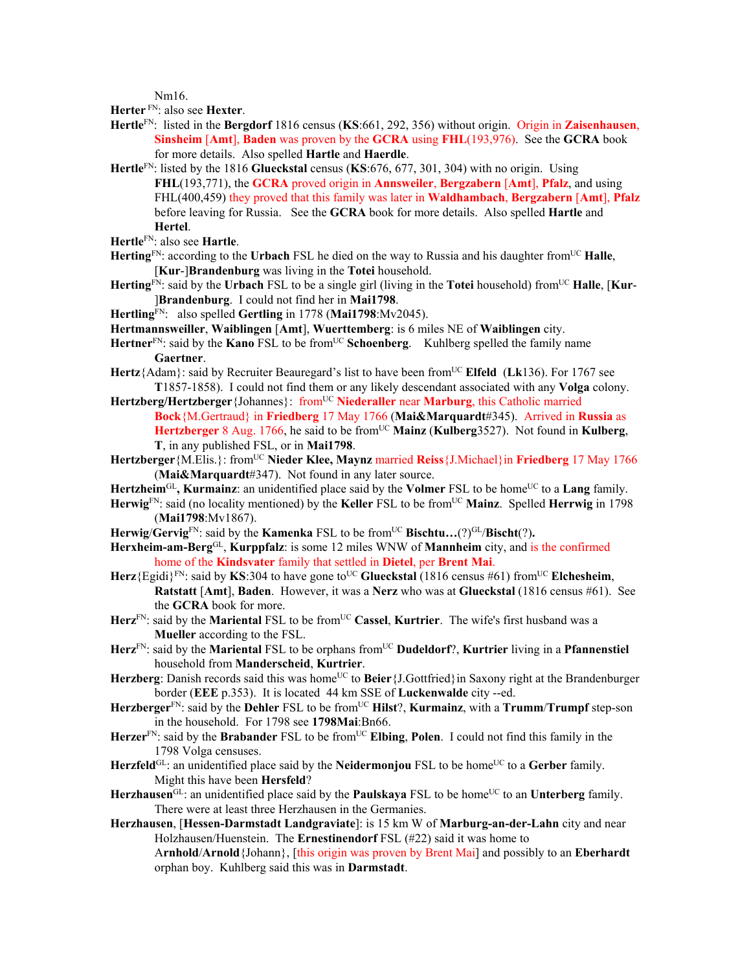Nm16.

**Herter** FN: also see **Hexter**.

- **Hertle**FN: listed in the **Bergdorf** 1816 census (**KS**:661, 292, 356) without origin.Origin in **Zaisenhausen**, **Sinsheim** [**Amt**], **Baden** was proven by the **GCRA** using **FHL**(193,976). See the **GCRA** book for more details. Also spelled **Hartle** and **Haerdle**.
- **Hertle**FN: listed by the 1816 **Glueckstal** census (**KS**:676, 677, 301, 304) with no origin. Using **FHL**(193,771), the **GCRA** proved origin in **Annsweiler**, **Bergzabern** [**Amt**], **Pfalz**, and using FHL(400,459) they proved that this family was later in **Waldhambach**, **Bergzabern** [**Amt**], **Pfalz** before leaving for Russia. See the **GCRA** book for more details. Also spelled **Hartle** and **Hertel**.
- **Hertle**FN: also see **Hartle**.
- **Herting**<sup>FN</sup>: according to the **Urbach** FSL he died on the way to Russia and his daughter from<sup>UC</sup> **Halle**, [**Kur**-]**Brandenburg** was living in the **Totei** household.
- **Herting**<sup>FN</sup>: said by the **Urbach** FSL to be a single girl (living in the **Totei** household) from<sup>UC</sup> **Halle**, [**Kur**-]**Brandenburg**. I could not find her in **Mai1798**.
- **Hertling**FN: also spelled **Gertling** in 1778 (**Mai1798**:Mv2045).
- **Hertmannsweiller**, **Waiblingen** [**Amt**], **Wuerttemberg**: is 6 miles NE of **Waiblingen** city.
- Hertner<sup>FN</sup>: said by the **Kano** FSL to be from<sup>UC</sup> Schoenberg. Kuhlberg spelled the family name **Gaertner**.
- **Hertz**{Adam}: said by Recruiter Beauregard's list to have been fromUC **Elfeld** (**Lk**136). For 1767 see **T**1857-1858). I could not find them or any likely descendant associated with any **Volga** colony.
- Hertzberg/Hertzberger {Johannes}: from<sup>UC</sup> Niederaller near Marburg, this Catholic married **Bock**{M.Gertraud} in **Friedberg** 17 May 1766 (**Mai&Marquardt**#345). Arrived in **Russia** as **Hertzberger** 8 Aug. 1766, he said to be fromUC **Mainz** (**Kulberg**3527). Not found in **Kulberg**, **T**, in any published FSL, or in **Mai1798**.
- **Hertzberger**{M.Elis.}: fromUC **Nieder Klee, Maynz** married **Reiss**{J.Michael}in **Friedberg** 17 May 1766 (**Mai&Marquardt**#347). Not found in any later source.
- **Hertzheim**GL**, Kurmainz**: an unidentified place said by the **Volmer** FSL to be homeUC to a **Lang** family.
- **Herwig**FN: said (no locality mentioned) by the **Keller** FSL to be fromUC **Mainz**. Spelled **Herrwig** in 1798 (**Mai1798**:Mv1867).
- Herwig/Gervig<sup>FN</sup>: said by the **Kamenka** FSL to be from<sup>UC</sup> **Bischtu...**(?)<sup>GL</sup>/Bischt(?).
- **Herxheim-am-Berg**GL, **Kurppfalz**: is some 12 miles WNW of **Mannheim** city, and is the confirmed home of the **Kindsvater** family that settled in **Dietel**, per **Brent Mai**.
- **Herz**{Egidi}<sup>FN</sup>: said by **KS**:304 to have gone to<sup>UC</sup> Glueckstal (1816 census #61) from<sup>UC</sup> **Elchesheim**, **Ratstatt** [**Amt**], **Baden**. However, it was a **Nerz** who was at **Glueckstal** (1816 census #61). See the **GCRA** book for more.
- **Herz**FN: said by the **Mariental** FSL to be fromUC **Cassel**, **Kurtrier**. The wife's first husband was a **Mueller** according to the FSL.
- Herz<sup>FN</sup>: said by the Mariental FSL to be orphans from<sup>UC</sup> Dudeldorf?, Kurtrier living in a Pfannenstiel household from **Manderscheid**, **Kurtrier**.
- Herzberg: Danish records said this was home<sup>UC</sup> to Beier {J.Gottfried} in Saxony right at the Brandenburger border (**EEE** p.353). It is located 44 km SSE of **Luckenwalde** city --ed.
- Herzberger<sup>FN</sup>: said by the Dehler FSL to be from<sup>UC</sup> Hilst?, **Kurmainz**, with a **Trumm/Trumpf** step-son in the household. For 1798 see **1798Mai**:Bn66.
- Herzer<sup>FN</sup>: said by the **Brabander** FSL to be from<sup>UC</sup> **Elbing**, **Polen**. I could not find this family in the 1798 Volga censuses.
- Herzfeld<sup>GL</sup>: an unidentified place said by the **Neidermonjou** FSL to be home<sup>UC</sup> to a Gerber family. Might this have been **Hersfeld**?
- Herzhausen<sup>GL</sup>: an unidentified place said by the **Paulskaya** FSL to be home<sup>UC</sup> to an **Unterberg** family. There were at least three Herzhausen in the Germanies.
- **Herzhausen**, [**Hessen-Darmstadt Landgraviate**]: is 15 km W of **Marburg-an-der-Lahn** city and near Holzhausen/Huenstein. The **Ernestinendorf** FSL (#22) said it was home to A**rnhold**/**Arnold**{Johann}, [this origin was proven by Brent Mai] and possibly to an **Eberhardt** orphan boy. Kuhlberg said this was in **Darmstadt**.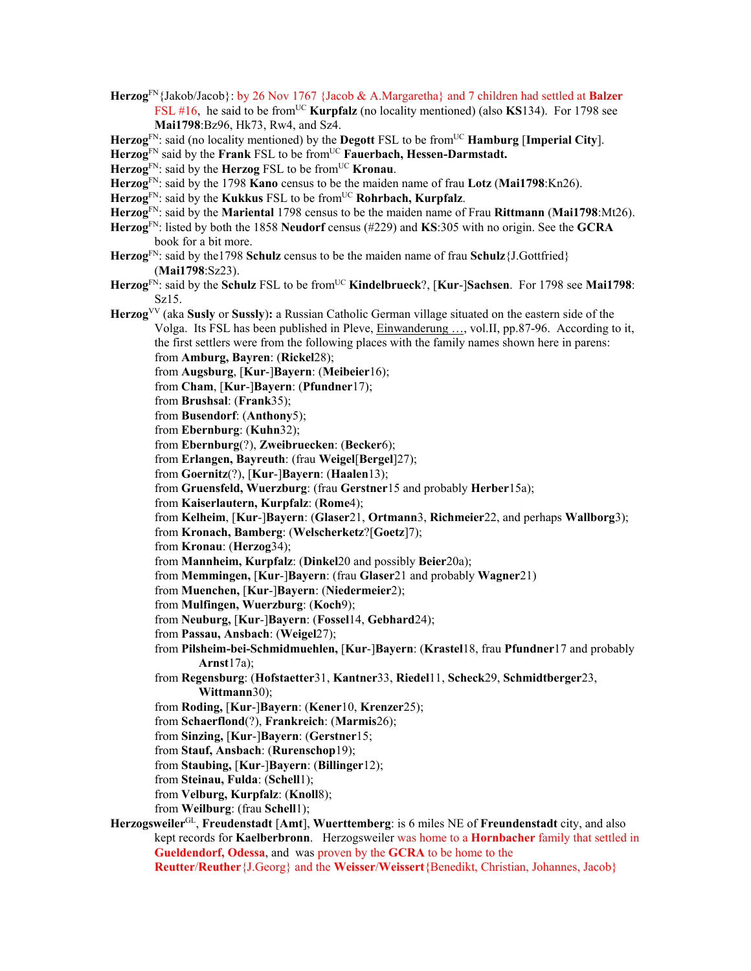- **Herzog**FN{Jakob/Jacob}: by 26 Nov 1767 {Jacob & A.Margaretha} and 7 children had settled at **Balzer** FSL #16, he said to be from<sup>UC</sup> **Kurpfalz** (no locality mentioned) (also **KS**134). For 1798 see **Mai1798**:Bz96, Hk73, Rw4, and Sz4.
- **Herzog**FN: said (no locality mentioned) by the **Degott** FSL to be fromUC **Hamburg** [**Imperial City**].

Herzog<sup>FN</sup> said by the **Frank** FSL to be from<sup>UC</sup> **Fauerbach**, **Hessen-Darmstadt.** 

- **Herzog**FN: said by the **Herzog** FSL to be fromUC **Kronau**.
- **Herzog**FN: said by the 1798 **Kano** census to be the maiden name of frau **Lotz** (**Mai1798**:Kn26).
- Herzog<sup>FN</sup>: said by the **Kukkus** FSL to be from<sup>UC</sup> **Rohrbach, Kurpfalz**.
- **Herzog**FN: said by the **Mariental** 1798 census to be the maiden name of Frau **Rittmann** (**Mai1798**:Mt26).
- **Herzog**FN: listed by both the 1858 **Neudorf** census (#229) and **KS**:305 with no origin. See the **GCRA** book for a bit more.
- **Herzog**FN: said by the1798 **Schulz** census to be the maiden name of frau **Schulz**{J.Gottfried} (**Mai1798**:Sz23).
- **Herzog**FN: said by the **Schulz** FSL to be fromUC **Kindelbrueck**?, [**Kur**-]**Sachsen**. For 1798 see **Mai1798**: Sz15.
- **Herzog**VV (aka **Susly** or **Sussly**)**:** a Russian Catholic German village situated on the eastern side of the Volga. Its FSL has been published in Pleve, Einwanderung …, vol.II, pp.87-96. According to it, the first settlers were from the following places with the family names shown here in parens: from **Amburg, Bayren**: (**Rickel**28);
	- from **Augsburg**, [**Kur**-]**Bayern**: (**Meibeier**16);
	- from **Cham**, [**Kur**-]**Bayern**: (**Pfundner**17);
	- from **Brushsal**: (**Frank**35);
	- from **Busendorf**: (**Anthony**5);
	- from **Ebernburg**: (**Kuhn**32);
	- from **Ebernburg**(?), **Zweibruecken**: (**Becker**6);
	- from **Erlangen, Bayreuth**: (frau **Weigel**[**Bergel**]27);
	- from **Goernitz**(?), [**Kur**-]**Bayern**: (**Haalen**13);
	- from **Gruensfeld, Wuerzburg**: (frau **Gerstner**15 and probably **Herber**15a);
	- from **Kaiserlautern, Kurpfalz**: (**Rome**4);
	- from **Kelheim**, [**Kur**-]**Bayern**: (**Glaser**21, **Ortmann**3, **Richmeier**22, and perhaps **Wallborg**3);
	- from **Kronach, Bamberg**: (**Welscherketz**?[**Goetz**]7);
	- from **Kronau**: (**Herzog**34);
	- from **Mannheim, Kurpfalz**: (**Dinkel**20 and possibly **Beier**20a);
	- from **Memmingen,** [**Kur**-]**Bayern**: (frau **Glaser**21 and probably **Wagner**21)
	- from **Muenchen,** [**Kur**-]**Bayern**: (**Niedermeier**2);
	- from **Mulfingen, Wuerzburg**: (**Koch**9);
	- from **Neuburg,** [**Kur**-]**Bayern**: (**Fossel**14, **Gebhard**24);
	- from **Passau, Ansbach**: (**Weigel**27);
	- from **Pilsheim-bei-Schmidmuehlen,** [**Kur**-]**Bayern**: (**Krastel**18, frau **Pfundner**17 and probably **Arnst**17a);
	- from **Regensburg**: (**Hofstaetter**31, **Kantner**33, **Riedel**11, **Scheck**29, **Schmidtberger**23, **Wittmann**30);
	- from **Roding,** [**Kur**-]**Bayern**: (**Kener**10, **Krenzer**25);
	- from **Schaerflond**(?), **Frankreich**: (**Marmis**26);
	- from **Sinzing,** [**Kur**-]**Bayern**: (**Gerstner**15;
	- from **Stauf, Ansbach**: (**Rurenschop**19);
	- from **Staubing,** [**Kur**-]**Bayern**: (**Billinger**12);
	- from **Steinau, Fulda**: (**Schell**1);
	- from **Velburg, Kurpfalz**: (**Knoll**8);
	- from **Weilburg**: (frau **Schell**1);
- **Herzogsweiler**GL, **Freudenstadt** [**Amt**], **Wuerttemberg**: is 6 miles NE of **Freundenstadt** city, and also kept records for **Kaelberbronn**. Herzogsweiler was home to a **Hornbacher** family that settled in **Gueldendorf, Odessa**, and was proven by the **GCRA** to be home to the **Reutter**/**Reuther**{J.Georg} and the **Weisser**/**Weissert**{Benedikt, Christian, Johannes, Jacob}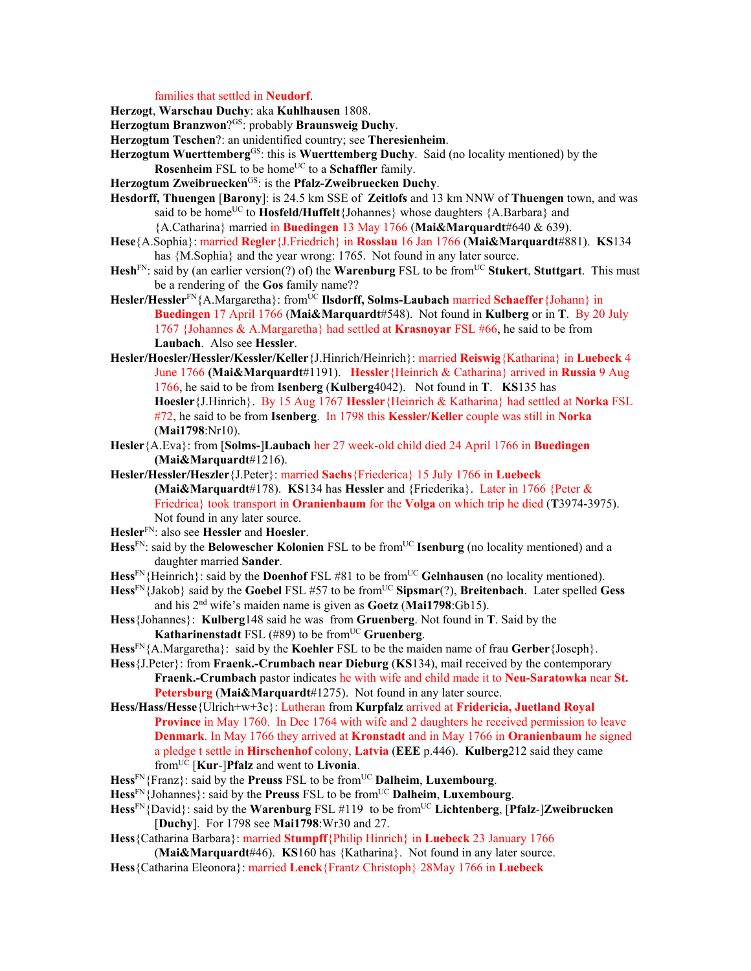## families that settled in **Neudorf**.

**Herzogt**, **Warschau Duchy**: aka **Kuhlhausen** 1808.

**Herzogtum Branzwon**?GS: probably **Braunsweig Duchy**.

**Herzogtum Teschen**?: an unidentified country; see **Theresienheim**.

- **Herzogtum Wuerttemberg**GS: this is **Wuerttemberg Duchy**. Said (no locality mentioned) by the **Rosenheim** FSL to be home<sup>UC</sup> to a **Schaffler** family.
- **Herzogtum Zweibruecken**GS: is the **Pfalz-Zweibruecken Duchy**.
- **Hesdorff, Thuengen** [**Barony**]: is 24.5 km SSE of **Zeitlofs** and 13 km NNW of **Thuengen** town, and was said to be home<sup>UC</sup> to **Hosfeld/Huffelt**{Johannes} whose daughters {A.Barbara} and {A.Catharina} married in **Buedingen** 13 May 1766 (**Mai&Marquardt**#640 & 639).
- **Hese**{A.Sophia}: married **Regler**{J.Friedrich} in **Rosslau** 16 Jan 1766 (**Mai&Marquardt**#881). **KS**134 has {M.Sophia} and the year wrong: 1765. Not found in any later source.
- Hesh<sup>FN</sup>: said by (an earlier version(?) of) the **Warenburg** FSL to be from<sup>UC</sup> Stukert, Stuttgart. This must be a rendering of the **Gos** family name??
- **Hesler/Hessler**<sup>FN</sup>{A.Margaretha}: from<sup>UC</sup> **Ilsdorff, Solms-Laubach** married **Schaeffer**{Johann} in **Buedingen** 17 April 1766 (**Mai&Marquardt**#548). Not found in **Kulberg** or in **T**. By 20 July 1767 {Johannes & A.Margaretha} had settled at **Krasnoyar** FSL #66, he said to be from **Laubach**. Also see **Hessler**.
- **Hesler/Hoesler/Hessler/Kessler/Keller**{J.Hinrich/Heinrich}: married **Reiswig**{Katharina} in **Luebeck** 4 June 1766 **(Mai&Marquardt**#1191). **Hessler**{Heinrich & Catharina} arrived in **Russia** 9 Aug 1766, he said to be from **Isenberg** (**Kulberg**4042). Not found in **T**. **KS**135 has **Hoesler**{J.Hinrich}. By 15 Aug 1767 **Hessler**{Heinrich & Katharina} had settled at **Norka** FSL #72, he said to be from **Isenberg**. In 1798 this **Kessler/Keller** couple was still in **Norka**  (**Mai1798**:Nr10).
- **Hesler**{A.Eva}: from [**Solms-**]**Laubach** her 27 week-old child died 24 April 1766 in **Buedingen (Mai&Marquardt**#1216).
- **Hesler/Hessler/Heszler**{J.Peter}: married **Sachs**{Friederica} 15 July 1766 in **Luebeck (Mai&Marquardt**#178). **KS**134 has **Hessler** and {Friederika}. Later in 1766 {Peter & Friedrica} took transport in **Oranienbaum** for the **Volga** on which trip he died (**T**3974-3975). Not found in any later source.

**Hesler**FN: also see **Hessler** and **Hoesler**.

- **Hess**<sup>FN</sup>: said by the **Belowescher Kolonien** FSL to be from<sup>UC</sup> **Isenburg** (no locality mentioned) and a daughter married **Sander**.
- Hess<sup>FN</sup>{Heinrich}: said by the **Doenhof** FSL #81 to be from<sup>UC</sup> Gelnhausen (no locality mentioned).
- **Hess**<sup>FN</sup>{Jakob} said by the **Goebel** FSL #57 to be from<sup>UC</sup> **Sipsmar**(?), **Breitenbach**. Later spelled **Gess** and his 2nd wife's maiden name is given as **Goetz** (**Mai1798**:Gb15).
- **Hess**{Johannes}: **Kulberg**148 said he was from **Gruenberg**. Not found in **T**. Said by the **Katharinenstadt** FSL (#89) to be from<sup>UC</sup> Gruenberg.
- **Hess**FN{A.Margaretha}: said by the **Koehler** FSL to be the maiden name of frau **Gerber**{Joseph}.
- **Hess**{J.Peter}: from **Fraenk.-Crumbach near Dieburg** (**KS**134), mail received by the contemporary **Fraenk.-Crumbach** pastor indicates he with wife and child made it to **Neu-Saratowka** near **St. Petersburg** (**Mai&Marquardt**#1275). Not found in any later source.
- **Hess/Hass/Hesse**{Ulrich+w+3c}: Lutheran from **Kurpfalz** arrived at **Fridericia, Juetland Royal Province** in May 1760. In Dec 1764 with wife and 2 daughters he received permission to leave **Denmark**. In May 1766 they arrived at **Kronstadt** and in May 1766 in **Oranienbaum** he signed a pledge t settle in **Hirschenhof** colony, **Latvia** (**EEE** p.446). **Kulberg**212 said they came fromUC [**Kur**-]**Pfalz** and went to **Livonia**.
- **Hess**FN{Franz}: said by the **Preuss** FSL to be fromUC **Dalheim**, **Luxembourg**.
- **Hess**FN{Johannes}: said by the **Preuss** FSL to be fromUC **Dalheim**, **Luxembourg**.
- **Hess**FN{David}: said by the **Warenburg** FSL #119 to be fromUC **Lichtenberg**, [**Pfalz**-]**Zweibrucken** [**Duchy**]. For 1798 see **Mai1798**:Wr30 and 27.
- **Hess**{Catharina Barbara}: married **Stumpff**{Philip Hinrich} in **Luebeck** 23 January 1766 (**Mai&Marquardt**#46). **KS**160 has {Katharina}. Not found in any later source.
- **Hess**{Catharina Eleonora}: married **Lenck**{Frantz Christoph} 28May 1766 in **Luebeck**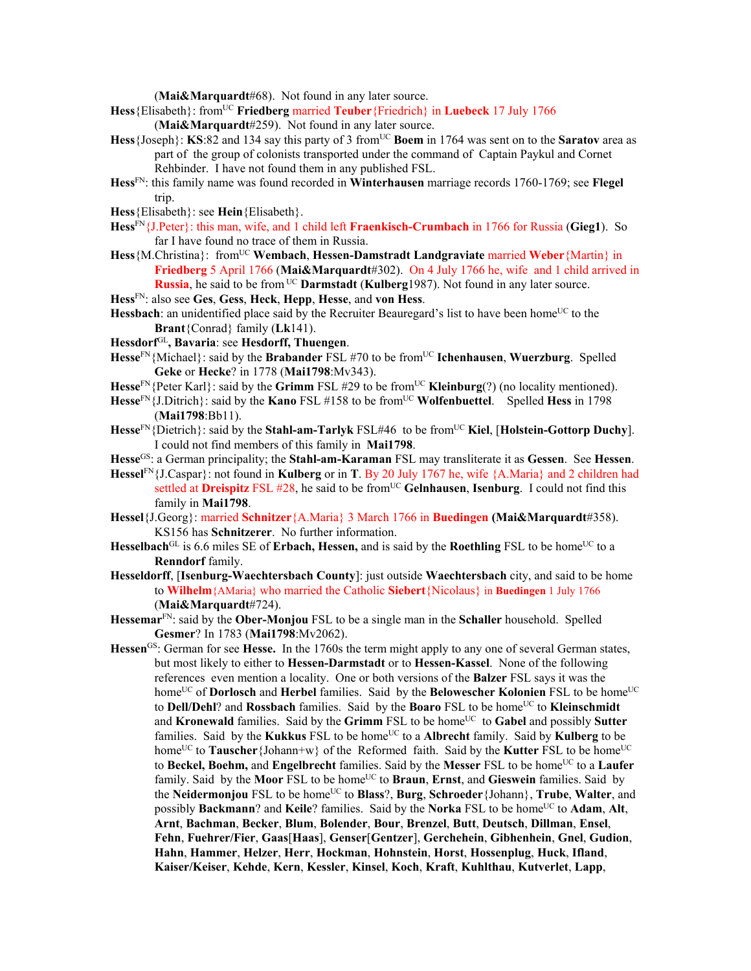(**Mai&Marquardt**#68). Not found in any later source.

- **Hess**{Elisabeth}: fromUC **Friedberg** married **Teuber**{Friedrich} in **Luebeck** 17 July 1766 (**Mai&Marquardt**#259). Not found in any later source.
- Hess {Joseph}: **KS**:82 and 134 say this party of 3 from<sup>UC</sup> **Boem** in 1764 was sent on to the **Saratov** area as part of the group of colonists transported under the command of Captain Paykul and Cornet Rehbinder. I have not found them in any published FSL.
- **Hess**FN: this family name was found recorded in **Winterhausen** marriage records 1760-1769; see **Flegel** trip.
- **Hess**{Elisabeth}: see **Hein**{Elisabeth}.
- **Hess**FN{J.Peter}: this man, wife, and 1 child left **Fraenkisch-Crumbach** in 1766 for Russia (**Gieg1**). So far I have found no trace of them in Russia.
- Hess {M.Christina}: from<sup>UC</sup> Wembach, Hessen-Damstradt Landgraviate married Weber {Martin} in **Friedberg** 5 April 1766 (**Mai&Marquardt**#302). On 4 July 1766 he, wife and 1 child arrived in **Russia**, he said to be from UC **Darmstadt** (**Kulberg**1987). Not found in any later source.
- **Hess**FN: also see **Ges**, **Gess**, **Heck**, **Hepp**, **Hesse**, and **von Hess**.
- **Hessbach**: an unidentified place said by the Recruiter Beauregard's list to have been home<sup>UC</sup> to the **Brant**{Conrad} family (**Lk**141).
- **Hessdorf**GL**, Bavaria**: see **Hesdorff, Thuengen**.
- Hesse<sup>FN</sup>{Michael}: said by the **Brabander** FSL #70 to be from<sup>UC</sup> **Ichenhausen**, **Wuerzburg**. Spelled **Geke** or **Hecke**? in 1778 (**Mai1798**:Mv343).
- **Hesse**<sup>FN</sup>{Peter Karl}: said by the **Grimm** FSL #29 to be from<sup>UC</sup> **Kleinburg**(?) (no locality mentioned).
- **Hesse**FN{J.Ditrich}: said by the **Kano** FSL #158 to be fromUC **Wolfenbuettel**. Spelled **Hess** in 1798 (**Mai1798**:Bb11).
- **Hesse**FN{Dietrich}: said by the **Stahl-am-Tarlyk** FSL#46 to be fromUC **Kiel**, [**Holstein-Gottorp Duchy**]. I could not find members of this family in **Mai1798**.
- **Hesse**GS: a German principality; the **Stahl-am-Karaman** FSL may transliterate it as **Gessen**. See **Hessen**.
- **Hessel**FN{J.Caspar}: not found in **Kulberg** or in **T**. By 20 July 1767 he, wife {A.Maria} and 2 children had settled at **Dreispitz** FSL #28, he said to be fromUC **Gelnhausen**, **Isenburg**. I could not find this family in **Mai1798**.
- **Hessel**{J.Georg}: married **Schnitzer**{A.Maria} 3 March 1766 in **Buedingen (Mai&Marquardt**#358). KS156 has **Schnitzerer**. No further information.
- **Hesselbach**<sup>GL</sup> is 6.6 miles SE of **Erbach, Hessen,** and is said by the **Roethling** FSL to be home<sup>UC</sup> to a **Renndorf** family.
- **Hesseldorff**, [**Isenburg-Waechtersbach County**]: just outside **Waechtersbach** city, and said to be home to **Wilhelm**{AMaria} who married the Catholic **Siebert**{Nicolaus} in **Buedingen** 1 July 1766 (**Mai&Marquardt**#724).
- **Hessemar**FN: said by the **Ober-Monjou** FSL to be a single man in the **Schaller** household. Spelled **Gesmer**? In 1783 (**Mai1798**:Mv2062).
- **Hessen**GS: German for see **Hesse.** In the 1760s the term might apply to any one of several German states, but most likely to either to **Hessen-Darmstadt** or to **Hessen-Kassel**.None of the following references even mention a locality. One or both versions of the **Balzer** FSL says it was the home<sup>UC</sup> of **Dorlosch** and **Herbel** families. Said by the **Belowescher Kolonien** FSL to be home<sup>UC</sup> to **Dell/Dehl?** and **Rossbach** families. Said by the **Boaro** FSL to be home<sup>UC</sup> to **Kleinschmidt** and **Kronewald** families. Said by the Grimm FSL to be home<sup>UC</sup> to Gabel and possibly Sutter families. Said by the **Kukkus** FSL to be home<sup>UC</sup> to a **Albrecht** family. Said by **Kulberg** to be home<sup>UC</sup> to **Tauscher**{Johann+w} of the Reformed faith. Said by the **Kutter** FSL to be home<sup>UC</sup> to Beckel, Boehm, and Engelbrecht families. Said by the Messer FSL to be home<sup>UC</sup> to a Laufer family. Said by the **Moor** FSL to be home<sup>UC</sup> to **Braun**, **Ernst**, and **Gieswein** families. Said by the **Neidermonjou** FSL to be homeUC to **Blass**?, **Burg**, **Schroeder**{Johann}, **Trube**, **Walter**, and possibly **Backmann**? and **Keile**? families. Said by the **Norka** FSL to be home<sup>UC</sup> to **Adam**, **Alt**, **Arnt**, **Bachman**, **Becker**, **Blum**, **Bolender**, **Bour**, **Brenzel**, **Butt**, **Deutsch**, **Dillman**, **Ensel**, **Fehn**, **Fuehrer/Fier**, **Gaas**[**Haas**], **Genser**[**Gentzer**], **Gerchehein**, **Gibhenhein**, **Gnel**, **Gudion**, **Hahn**, **Hammer**, **Helzer**, **Herr**, **Hockman**, **Hohnstein**, **Horst**, **Hossenplug**, **Huck**, **Ifland**, **Kaiser/Keiser**, **Kehde**, **Kern**, **Kessler**, **Kinsel**, **Koch**, **Kraft**, **Kuhlthau**, **Kutverlet**, **Lapp**,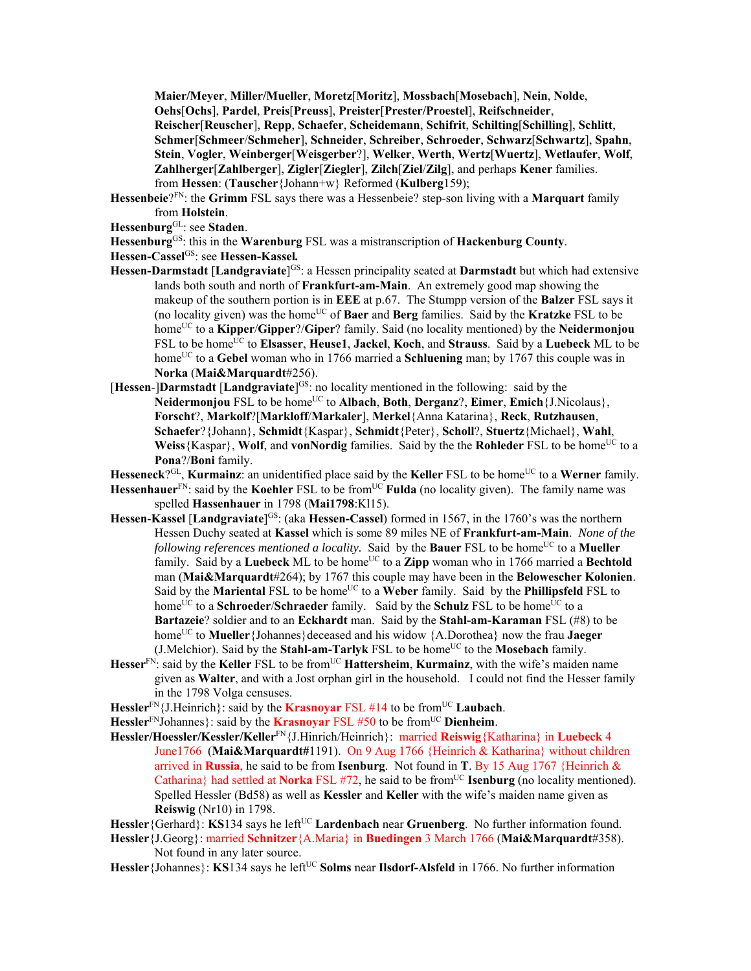**Maier/Meyer**, **Miller/Mueller**, **Moretz**[**Moritz**], **Mossbach**[**Mosebach**], **Nein**, **Nolde**, **Oehs**[**Ochs**], **Pardel**, **Preis**[**Preuss**], **Preister**[**Prester/Proestel**], **Reifschneider**, **Reischer**[**Reuscher**], **Repp**, **Schaefer**, **Scheidemann**, **Schifrit**, **Schilting**[**Schilling**], **Schlitt**, **Schmer**[**Schmeer**/**Schmeher**], **Schneider**, **Schreiber**, **Schroeder**, **Schwarz**[**Schwartz**], **Spahn**, **Stein**, **Vogler**, **Weinberger**[**Weisgerber**?], **Welker**, **Werth**, **Wertz**[**Wuertz**], **Wetlaufer**, **Wolf**, **Zahlherger**[**Zahlberger**], **Zigler**[**Ziegler**], **Zilch**[**Ziel**/**Zilg**], and perhaps **Kener** families. from **Hessen**: (**Tauscher**{Johann+w} Reformed (**Kulberg**159);

- **Hessenbeie**?FN: the **Grimm** FSL says there was a Hessenbeie? step-son living with a **Marquart** family from **Holstein**.
- **Hessenburg**GL: see **Staden**.
- **Hessenburg**GS: this in the **Warenburg** FSL was a mistranscription of **Hackenburg County**.
- **Hessen-Cassel**GS: see **Hessen-Kassel***.*
- **Hessen-Darmstadt** [**Landgraviate**] GS: a Hessen principality seated at **Darmstadt** but which had extensive lands both south and north of **Frankfurt-am-Main**. An extremely good map showing the makeup of the southern portion is in **EEE** at p.67. The Stumpp version of the **Balzer** FSL says it (no locality given) was the homeUC of **Baer** and **Berg** families. Said by the **Kratzke** FSL to be homeUC to a **Kipper**/**Gipper**?/**Giper**? family. Said (no locality mentioned) by the **Neidermonjou** FSL to be home<sup>UC</sup> to **Elsasser**, **Heuse1**, **Jackel**, **Koch**, and **Strauss**. Said by a **Luebeck** ML to be home<sup>UC</sup> to a Gebel woman who in 1766 married a Schluening man; by 1767 this couple was in **Norka** (**Mai&Marquardt**#256).
- [**Hessen**-]**Darmstadt** [**Landgraviate**] GS: no locality mentioned in the following: said by the Neidermonjou FSL to be home<sup>UC</sup> to Albach, Both, Derganz?, Eimer, Emich {J.Nicolaus}, **Forscht**?, **Markolf**?[**Markloff**/**Markaler**], **Merkel**{Anna Katarina}, **Reck**, **Rutzhausen**, **Schaefer**?{Johann}, **Schmidt**{Kaspar}, **Schmidt**{Peter}, **Scholl**?, **Stuertz**{Michael}, **Wahl**, Weiss {Kaspar}, Wolf, and **vonNordig** families. Said by the the **Rohleder** FSL to be home<sup>UC</sup> to a **Pona**?/**Boni** family.
- Hesseneck<sup>?GL</sup>, **Kurmainz**: an unidentified place said by the **Keller** FSL to be home<sup>UC</sup> to a **Werner** family.
- **Hessenhauer**<sup>FN</sup>: said by the **Koehler** FSL to be from<sup>UC</sup> **Fulda** (no locality given). The family name was spelled **Hassenhauer** in 1798 (**Mai1798**:Kl15).
- **Hessen-Kassel [Landgraviate**]<sup>GS</sup>: (aka **Hessen-Cassel**) formed in 1567, in the 1760's was the northern Hessen Duchy seated at **Kassel** which is some 89 miles NE of **Frankfurt-am-Main**. *None of the following references mentioned a locality.* Said by the **Bauer** FSL to be home<sup>UC</sup> to a **Mueller** family. Said by a Luebeck ML to be home<sup>UC</sup> to a Zipp woman who in 1766 married a Bechtold man (**Mai&Marquardt**#264); by 1767 this couple may have been in the **Belowescher Kolonien**. Said by the **Mariental** FSL to be home<sup>UC</sup> to a **Weber** family. Said by the **Phillipsfeld** FSL to home<sup>UC</sup> to a **Schroeder/Schraeder** family. Said by the **Schulz** FSL to be home<sup>UC</sup> to a **Bartazeie**? soldier and to an **Eckhardt** man. Said by the **Stahl-am-Karaman** FSL (#8) to be home<sup>UC</sup> to **Mueller**{Johannes}deceased and his widow {A.Dorothea} now the frau **Jaeger** (J.Melchior). Said by the **Stahl-am-Tarlyk** FSL to be home<sup>UC</sup> to the **Mosebach** family.
- **Hesser**FN: said by the **Keller** FSL to be fromUC **Hattersheim**, **Kurmainz**, with the wife's maiden name given as **Walter**, and with a Jost orphan girl in the household. I could not find the Hesser family in the 1798 Volga censuses.
- **Hessler**<sup>FN</sup>{J.Heinrich}: said by the **Krasnoyar** FSL #14 to be from<sup>UC</sup> **Laubach**.
- **Hessler**<sup>FN</sup>Johannes}: said by the **Krasnoyar** FSL #50 to be from<sup>UC</sup> Dienheim.
- **Hessler/Hoessler/Kessler/Keller**FN{J.Hinrich/Heinrich}: married **Reiswig**{Katharina} in **Luebeck** 4 June1766 (**Mai&Marquardt#**1191). On 9 Aug 1766 {Heinrich & Katharina} without children arrived in **Russia**, he said to be from **Isenburg**. Not found in **T**. By 15 Aug 1767 {Heinrich & Catharina} had settled at **Norka** FSL #72, he said to be from<sup>UC</sup> **Isenburg** (no locality mentioned). Spelled Hessler (Bd58) as well as **Kessler** and **Keller** with the wife's maiden name given as **Reiswig** (Nr10) in 1798.
- Hessler {Gerhard}: **KS**134 says he left<sup>UC</sup> **Lardenbach** near **Gruenberg**. No further information found.
- **Hessler**{J.Georg}: married **Schnitzer**{A.Maria} in **Buedingen** 3 March 1766 (**Mai&Marquardt**#358). Not found in any later source.
- Hessler {Johannes}: **KS**134 says he left<sup>UC</sup> Solms near **Ilsdorf-Alsfeld** in 1766. No further information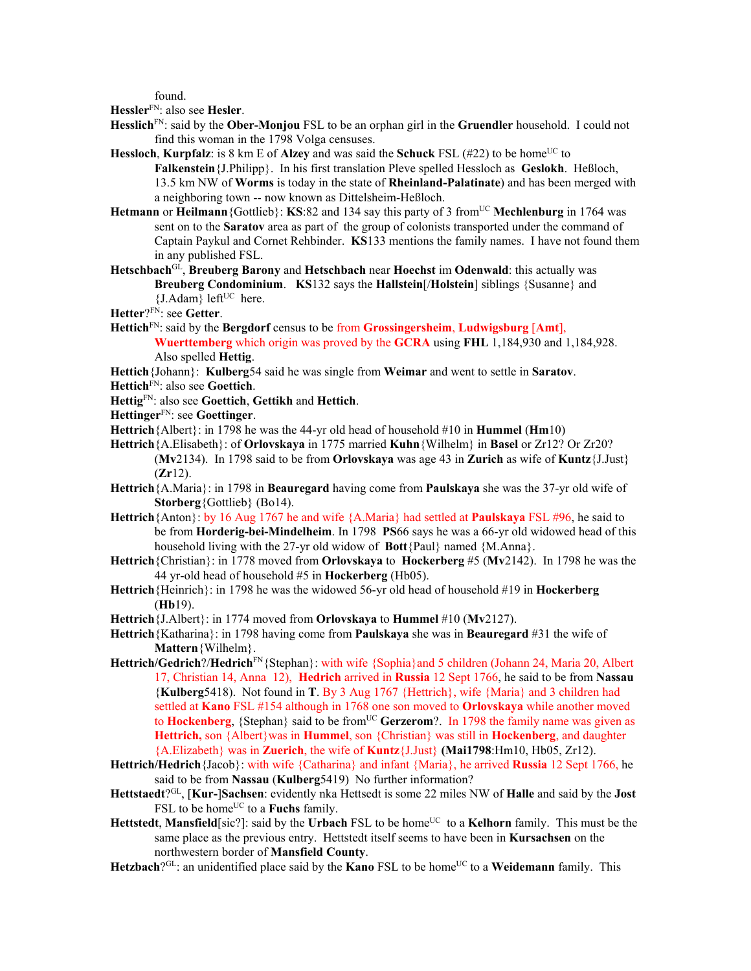found.

**Hessler**FN: also see **Hesler**.

- **Hesslich**FN: said by the **Ober-Monjou** FSL to be an orphan girl in the **Gruendler** household. I could not find this woman in the 1798 Volga censuses.
- **Hessloch, Kurpfalz**: is 8 km E of **Alzey** and was said the **Schuck** FSL (#22) to be home<sup>UC</sup> to **Falkenstein**{J.Philipp}. In his first translation Pleve spelled Hessloch as **Geslokh**. Heßloch, 13.5 km NW of **Worms** is today in the state of **Rheinland-Palatinate**) and has been merged with a neighboring town -- now known as Dittelsheim-Heßloch.
- **Hetmann** or **Heilmann** {Gottlieb}: **KS**:82 and 134 say this party of 3 from<sup>UC</sup> Mechlenburg in 1764 was sent on to the **Saratov** area as part of the group of colonists transported under the command of Captain Paykul and Cornet Rehbinder. **KS**133 mentions the family names. I have not found them in any published FSL.
- **Hetschbach**GL, **Breuberg Barony** and **Hetschbach** near **Hoechst** im **Odenwald**: this actually was **Breuberg Condominium**. **KS**132 says the **Hallstein**[/**Holstein**] siblings {Susanne} and  ${J.Adam}$  left<sup>UC</sup> here.

**Hetter**?FN: see **Getter**.

**Hettich**FN: said by the **Bergdorf** census to be from **Grossingersheim**, **Ludwigsburg** [**Amt**], **Wuerttemberg** which origin was proved by the **GCRA** using **FHL** 1,184,930 and 1,184,928.

Also spelled **Hettig**.

**Hettich**{Johann}: **Kulberg**54 said he was single from **Weimar** and went to settle in **Saratov**.

- **Hettich**FN: also see **Goettich**.
- **Hettig**FN: also see **Goettich**, **Gettikh** and **Hettich**.
- **Hettinger**FN: see **Goettinger**.
- **Hettrich**{Albert}: in 1798 he was the 44-yr old head of household #10 in **Hummel** (**Hm**10)
- **Hettrich**{A.Elisabeth}: of **Orlovskaya** in 1775 married **Kuhn**{Wilhelm} in **Basel** or Zr12? Or Zr20? (**Mv**2134). In 1798 said to be from **Orlovskaya** was age 43 in **Zurich** as wife of **Kuntz**{J.Just} (**Zr**12).
- **Hettrich**{A.Maria}: in 1798 in **Beauregard** having come from **Paulskaya** she was the 37-yr old wife of **Storberg**{Gottlieb} (Bo14).
- **Hettrich**{Anton}: by 16 Aug 1767 he and wife {A.Maria} had settled at **Paulskaya** FSL #96, he said to be from **Horderig-bei-Mindelheim**. In 1798 **PS**66 says he was a 66-yr old widowed head of this household living with the 27-yr old widow of **Bott**{Paul} named {M.Anna}.
- **Hettrich**{Christian}: in 1778 moved from **Orlovskaya** to **Hockerberg** #5 (**Mv**2142). In 1798 he was the 44 yr-old head of household #5 in **Hockerberg** (Hb05).
- **Hettrich**{Heinrich}: in 1798 he was the widowed 56-yr old head of household #19 in **Hockerberg**  (**Hb**19).
- **Hettrich**{J.Albert}: in 1774 moved from **Orlovskaya** to **Hummel** #10 (**Mv**2127).
- **Hettrich**{Katharina}: in 1798 having come from **Paulskaya** she was in **Beauregard** #31 the wife of **Mattern**{Wilhelm}.
- **Hettrich/Gedrich**?/**Hedrich**FN{Stephan}: with wife {Sophia}and 5 children (Johann 24, Maria 20, Albert 17, Christian 14, Anna 12), **Hedrich** arrived in **Russia** 12 Sept 1766, he said to be from **Nassau**  {**Kulberg**5418). Not found in **T**. By 3 Aug 1767 {Hettrich}, wife {Maria} and 3 children had settled at **Kano** FSL #154 although in 1768 one son moved to **Orlovskaya** while another moved to **Hockenberg**, {Stephan} said to be from<sup>UC</sup> **Gerzerom**?. In 1798 the family name was given as **Hettrich,** son {Albert}was in **Hummel**, son {Christian} was still in **Hockenberg**, and daughter {A.Elizabeth} was in **Zuerich**, the wife of **Kuntz**{J.Just} **(Mai1798**:Hm10, Hb05, Zr12).
- **Hettrich/Hedrich**{Jacob}: with wife {Catharina} and infant {Maria}, he arrived **Russia** 12 Sept 1766, he said to be from **Nassau** (**Kulberg**5419) No further information?
- **Hettstaedt**?GL, [**Kur-**]**Sachsen**: evidently nka Hettsedt is some 22 miles NW of **Halle** and said by the **Jost** FSL to be home<sup>UC</sup> to a **Fuchs** family.
- Hettstedt, Mansfield[sic?]: said by the Urbach FSL to be home<sup>UC</sup> to a Kelhorn family. This must be the same place as the previous entry. Hettstedt itself seems to have been in **Kursachsen** on the northwestern border of **Mansfield County**.
- **Hetzbach**?<sup>GL</sup>: an unidentified place said by the **Kano** FSL to be home<sup>UC</sup> to a **Weidemann** family. This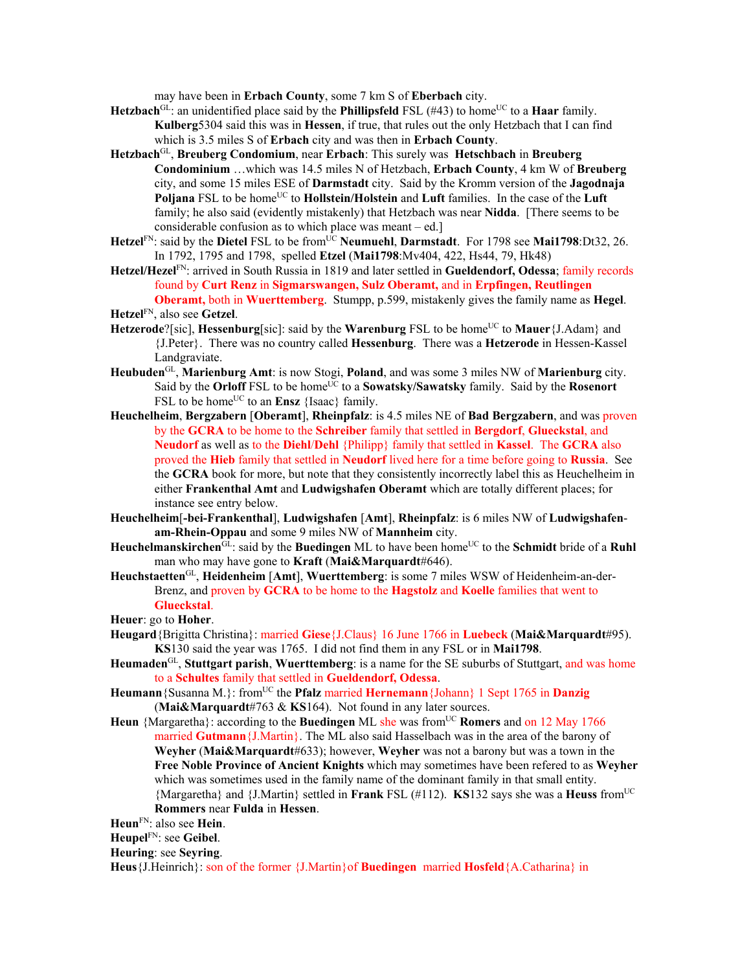may have been in **Erbach County**, some 7 km S of **Eberbach** city.

- **Hetzbach**<sup>GL</sup>: an unidentified place said by the **Phillipsfeld** FSL (#43) to home<sup>UC</sup> to a **Haar** family. **Kulberg**5304 said this was in **Hessen**, if true, that rules out the only Hetzbach that I can find which is 3.5 miles S of **Erbach** city and was then in **Erbach County**.
- **Hetzbach**GL, **Breuberg Condomium**, near **Erbach**: This surely was **Hetschbach** in **Breuberg Condominium** …which was 14.5 miles N of Hetzbach, **Erbach County**, 4 km W of **Breuberg**  city, and some 15 miles ESE of **Darmstadt** city. Said by the Kromm version of the **Jagodnaja Poljana** FSL to be home<sup>UC</sup> to **Hollstein/Holstein** and **Luft** families. In the case of the **Luft** family; he also said (evidently mistakenly) that Hetzbach was near **Nidda**. [There seems to be considerable confusion as to which place was meant – ed.]
- Hetzel<sup>FN</sup>: said by the Dietel FSL to be from<sup>UC</sup> Neumuehl, Darmstadt. For 1798 see Mai1798:Dt32, 26. In 1792, 1795 and 1798, spelled **Etzel** (**Mai1798**:Mv404, 422, Hs44, 79, Hk48)
- **Hetzel/Hezel**FN: arrived in South Russia in 1819 and later settled in **Gueldendorf, Odessa**; family records found by **Curt Renz** in **Sigmarswangen, Sulz Oberamt,** and in **Erpfingen, Reutlingen Oberamt,** both in **Wuerttemberg**. Stumpp, p.599, mistakenly gives the family name as **Hegel**.
- **Hetzel**FN, also see **Getzel**.
- **Hetzerode**?[sic], **Hessenburg**[sic]: said by the **Warenburg** FSL to be home<sup>UC</sup> to **Mauer**{J.Adam} and {J.Peter}. There was no country called **Hessenburg**. There was a **Hetzerode** in Hessen-Kassel Landgraviate.
- **Heubuden**GL, **Marienburg Amt**: is now Stogi, **Poland**, and was some 3 miles NW of **Marienburg** city. Said by the **Orloff** FSL to be home<sup>UC</sup> to a **Sowatsky/Sawatsky** family. Said by the **Rosenort** FSL to be home<sup>UC</sup> to an **Ensz** {Isaac} family.
- **Heuchelheim**, **Bergzabern** [**Oberamt**], **Rheinpfalz**: is 4.5 miles NE of **Bad Bergzabern**, and was proven by the **GCRA** to be home to the **Schreiber** family that settled in **Bergdorf**, **Glueckstal**, and **Neudorf** as well as to the **Diehl**/**Dehl** {Philipp} family that settled in **Kassel**. The **GCRA** also proved the **Hieb** family that settled in **Neudorf** lived here for a time before going to **Russia**. See the **GCRA** book for more, but note that they consistently incorrectly label this as Heuchelheim in either **Frankenthal Amt** and **Ludwigshafen Oberamt** which are totally different places; for instance see entry below.
- **Heuchelheim**[**-bei-Frankenthal**], **Ludwigshafen** [**Amt**], **Rheinpfalz**: is 6 miles NW of **Ludwigshafenam-Rhein-Oppau** and some 9 miles NW of **Mannheim** city.
- **Heuchelmanskirchen**<sup>GL</sup>: said by the **Buedingen** ML to have been home<sup>UC</sup> to the **Schmidt** bride of a **Ruhl** man who may have gone to **Kraft** (**Mai&Marquardt**#646).
- **Heuchstaetten**GL, **Heidenheim** [**Amt**], **Wuerttemberg**: is some 7 miles WSW of Heidenheim-an-der-Brenz, and proven by **GCRA** to be home to the **Hagstolz** and **Koelle** families that went to **Glueckstal**.

**Heuer**: go to **Hoher**.

- **Heugard**{Brigitta Christina}: married **Giese**{J.Claus} 16 June 1766 in **Luebeck** (**Mai&Marquardt**#95). **KS**130 said the year was 1765. I did not find them in any FSL or in **Mai1798**.
- **Heumaden**GL, **Stuttgart parish**, **Wuerttemberg**: is a name for the SE suburbs of Stuttgart, and was home to a **Schultes** family that settled in **Gueldendorf, Odessa**.
- Heumann {Susanna M.}: from<sup>UC</sup> the **Pfalz** married **Hernemann** {Johann} 1 Sept 1765 in **Danzig** (**Mai&Marquardt**#763 & **KS**164). Not found in any later sources.
- **Heun** {Margaretha}: according to the **Buedingen** ML she was from<sup>UC</sup> **Romers** and on 12 May 1766 married **Gutmann**{J.Martin}. The ML also said Hasselbach was in the area of the barony of **Weyher** (**Mai&Marquardt**#633); however, **Weyher** was not a barony but was a town in the **Free Noble Province of Ancient Knights** which may sometimes have been refered to as **Weyher**  which was sometimes used in the family name of the dominant family in that small entity. {Margaretha} and {J.Martin} settled in **Frank** FSL (#112). **KS**132 says she was a **Heuss** fromUC **Rommers** near **Fulda** in **Hessen**.

**Heun**FN: also see **Hein**.

**Heupel**FN: see **Geibel**.

**Heuring**: see **Seyring**.

**Heus**{J.Heinrich}: son of the former {J.Martin}of **Buedingen** married **Hosfeld**{A.Catharina} in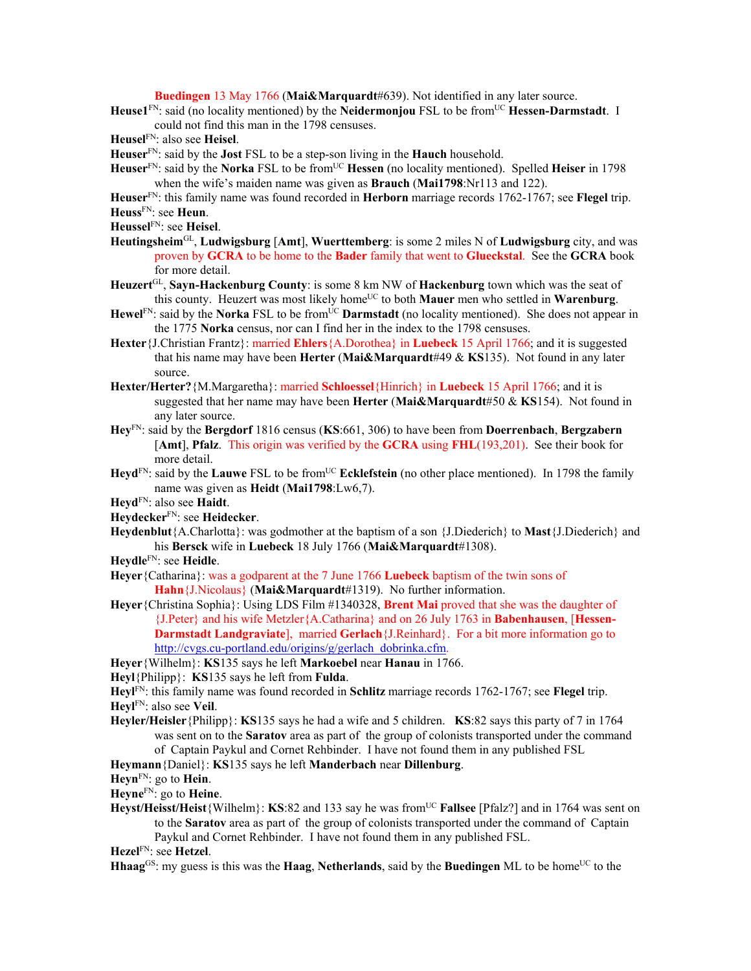**Buedingen** 13 May 1766 (**Mai&Marquardt**#639). Not identified in any later source.

Heuse1<sup>FN</sup>: said (no locality mentioned) by the **Neidermonjou** FSL to be from<sup>UC</sup> Hessen-Darmstadt. I could not find this man in the 1798 censuses.

**Heusel**FN: also see **Heisel**.

- **Heuser**FN: said by the **Jost** FSL to be a step-son living in the **Hauch** household.
- Heuser<sup>FN</sup>: said by the Norka FSL to be from<sup>UC</sup> Hessen (no locality mentioned). Spelled Heiser in 1798 when the wife's maiden name was given as **Brauch** (**Mai1798**:Nr113 and 122).
- **Heuser**FN: this family name was found recorded in **Herborn** marriage records 1762-1767; see **Flegel** trip. **Heuss**FN: see **Heun**.
- **Heussel**FN: see **Heisel**.
- **Heutingsheim**GL, **Ludwigsburg** [**Amt**], **Wuerttemberg**: is some 2 miles N of **Ludwigsburg** city, and was proven by **GCRA** to be home to the **Bader** family that went to **Glueckstal**. See the **GCRA** book for more detail.
- **Heuzert**GL, **Sayn-Hackenburg County**: is some 8 km NW of **Hackenburg** town which was the seat of this county. Heuzert was most likely home<sup>UC</sup> to both **Mauer** men who settled in **Warenburg**.
- **Hewel**<sup>FN</sup>: said by the **Norka** FSL to be from<sup>UC</sup> **Darmstadt** (no locality mentioned). She does not appear in the 1775 **Norka** census, nor can I find her in the index to the 1798 censuses.
- **Hexter**{J.Christian Frantz}: married **Ehlers**{A.Dorothea} in **Luebeck** 15 April 1766; and it is suggested that his name may have been **Herter** (**Mai&Marquardt**#49 & **KS**135). Not found in any later source.
- **Hexter/Herter?**{M.Margaretha}: married **Schloessel**{Hinrich} in **Luebeck** 15 April 1766; and it is suggested that her name may have been **Herter** (**Mai&Marquardt**#50 & **KS**154). Not found in any later source.
- **Hey**FN: said by the **Bergdorf** 1816 census (**KS**:661, 306) to have been from **Doerrenbach**, **Bergzabern** [**Amt**], **Pfalz**. This origin was verified by the **GCRA** using **FHL**(193,201). See their book for more detail.
- **Heyd**<sup>FN</sup>: said by the **Lauwe** FSL to be from<sup>UC</sup> **Ecklefstein** (no other place mentioned). In 1798 the family name was given as **Heidt** (**Mai1798**:Lw6,7).
- **Heyd**FN: also see **Haidt**.
- **Heydecker**FN: see **Heidecker**.
- **Heydenblut**{A.Charlotta}: was godmother at the baptism of a son {J.Diederich} to **Mast**{J.Diederich} and his **Bersck** wife in **Luebeck** 18 July 1766 (**Mai&Marquardt**#1308).
- **Heydle**FN: see **Heidle**.
- **Heyer**{Catharina}: was a godparent at the 7 June 1766 **Luebeck** baptism of the twin sons of **Hahn**{J.Nicolaus} (**Mai&Marquardt**#1319). No further information.
- **Heyer**{Christina Sophia}: Using LDS Film #1340328, **Brent Mai** proved that she was the daughter of {J.Peter} and his wife Metzler{A.Catharina} and on 26 July 1763 in **Babenhausen**, [**Hessen-Darmstadt Landgraviate**], married **Gerlach**{J.Reinhard}. For a bit more information go to http://cvgs.cu-portland.edu/origins/g/gerlach\_dobrinka.cfm.
- **Heyer**{Wilhelm}: **KS**135 says he left **Markoebel** near **Hanau** in 1766.

**Heyl**{Philipp}: **KS**135 says he left from **Fulda**.

- **Heyl**FN: this family name was found recorded in **Schlitz** marriage records 1762-1767; see **Flegel** trip. **Heyl**FN: also see **Veil**.
- **Heyler/Heisler**{Philipp}: **KS**135 says he had a wife and 5 children. **KS**:82 says this party of 7 in 1764 was sent on to the **Saratov** area as part of the group of colonists transported under the command of Captain Paykul and Cornet Rehbinder. I have not found them in any published FSL

## **Heymann**{Daniel}: **KS**135 says he left **Manderbach** near **Dillenburg**.

**Heyn**FN: go to **Hein**.

**Heyne**FN: go to **Heine**.

**Heyst/Heisst/Heist**{Wilhelm}: **KS**:82 and 133 say he was fromUC **Fallsee** [Pfalz?] and in 1764 was sent on to the **Saratov** area as part of the group of colonists transported under the command of Captain Paykul and Cornet Rehbinder. I have not found them in any published FSL.

**Hezel**FN: see **Hetzel**.

**Hhaag**<sup>GS</sup>: my guess is this was the **Haag, Netherlands**, said by the **Buedingen** ML to be home<sup>UC</sup> to the